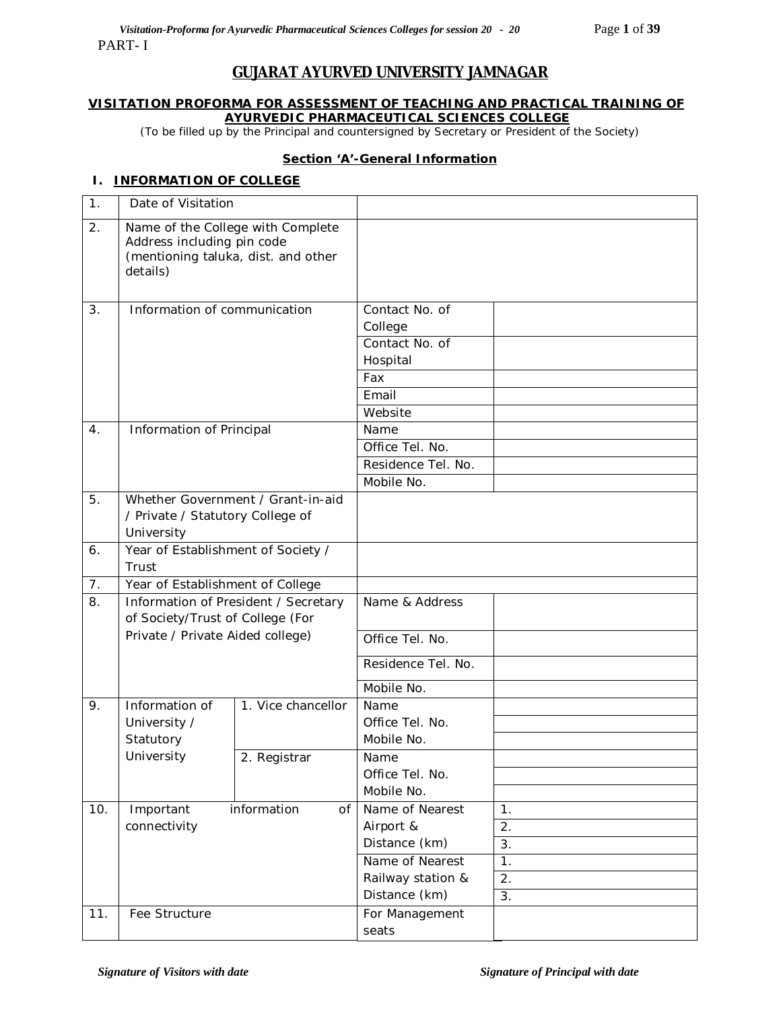# **GUJARAT AYURVED UNIVERSITY JAMNAGAR**

### **VISITATION PROFORMA FOR ASSESSMENT OF TEACHING AND PRACTICAL TRAINING OF AYURVEDIC PHARMACEUTICAL SCIENCES COLLEGE**

*(*To be filled up by the Principal and countersigned by Secretary or President of the Society)

### **Section 'A'-General Information**

### **I. INFORMATION OF COLLEGE**

| $\mathbf 1$ .  | Date of Visitation                                                                                                 |                                      |                               |    |
|----------------|--------------------------------------------------------------------------------------------------------------------|--------------------------------------|-------------------------------|----|
| 2.             | Name of the College with Complete<br>Address including pin code<br>(mentioning taluka, dist. and other<br>details) |                                      |                               |    |
| 3.             | Information of communication                                                                                       |                                      | Contact No. of<br>College     |    |
|                |                                                                                                                    |                                      | Contact No. of                |    |
|                |                                                                                                                    |                                      | Hospital                      |    |
|                |                                                                                                                    |                                      | Fax                           |    |
|                |                                                                                                                    |                                      | Email                         |    |
|                |                                                                                                                    |                                      | Website                       |    |
| 4 <sub>1</sub> | Information of Principal                                                                                           |                                      | Name                          |    |
|                |                                                                                                                    |                                      | Office Tel. No.               |    |
|                |                                                                                                                    |                                      | Residence Tel. No.            |    |
|                |                                                                                                                    |                                      | Mobile No.                    |    |
| 5.             |                                                                                                                    | Whether Government / Grant-in-aid    |                               |    |
|                | / Private / Statutory College of                                                                                   |                                      |                               |    |
|                | University                                                                                                         |                                      |                               |    |
| 6.             | Year of Establishment of Society /                                                                                 |                                      |                               |    |
|                | Trust                                                                                                              |                                      |                               |    |
| 7.             | Year of Establishment of College                                                                                   |                                      |                               |    |
| 8.             | of Society/Trust of College (For                                                                                   | Information of President / Secretary | Name & Address                |    |
|                | Private / Private Aided college)                                                                                   |                                      | Office Tel. No.               |    |
|                |                                                                                                                    |                                      | Residence Tel. No.            |    |
|                |                                                                                                                    |                                      | Mobile No.                    |    |
| 9.             | Information of                                                                                                     | 1. Vice chancellor                   | Name                          |    |
|                | University /                                                                                                       |                                      | Office Tel. No.               |    |
|                | Statutory                                                                                                          |                                      | Mobile No.                    |    |
|                | University                                                                                                         | 2. Registrar                         | Name                          |    |
|                |                                                                                                                    |                                      | Office Tel. No.<br>Mobile No. |    |
| 10.            |                                                                                                                    | information<br>0f                    | Name of Nearest               | 1. |
|                | Important<br>connectivity                                                                                          |                                      | Airport &                     | 2. |
|                |                                                                                                                    |                                      | Distance (km)                 | 3. |
|                |                                                                                                                    |                                      | Name of Nearest               | 1. |
|                |                                                                                                                    |                                      | Railway station &             | 2. |
|                |                                                                                                                    |                                      | Distance (km)                 | 3. |
| 11.            | Fee Structure                                                                                                      |                                      | For Management                |    |
|                |                                                                                                                    |                                      | seats                         |    |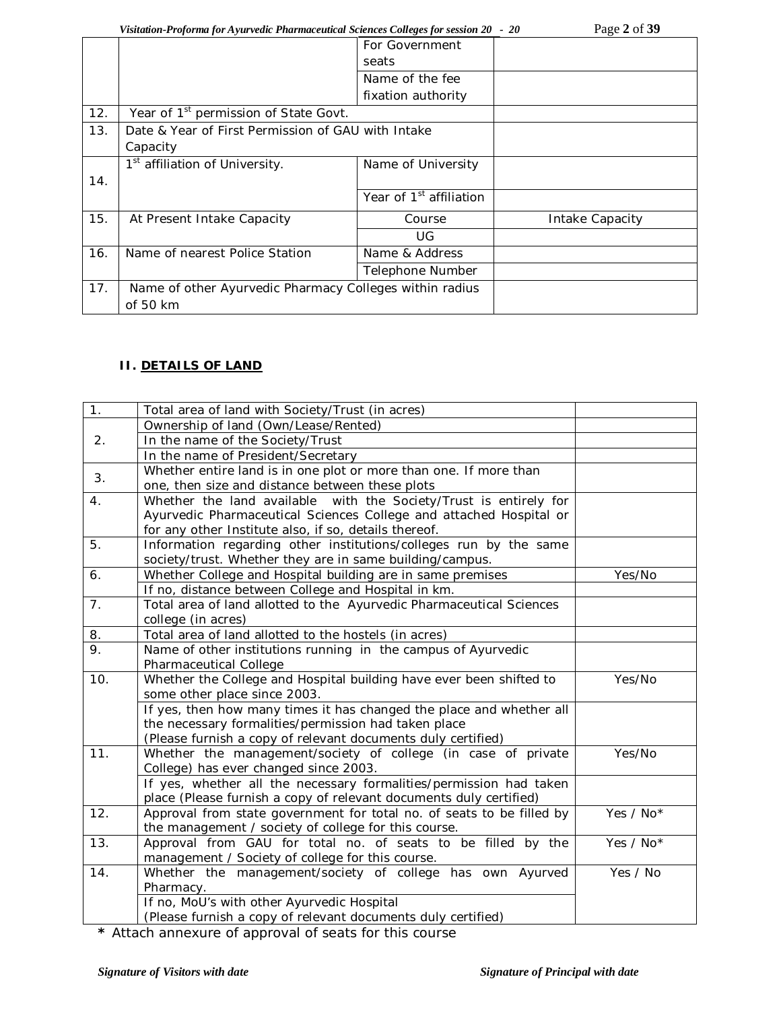*Visitation-Proforma for Ayurvedic Pharmaceutical Sciences Colleges for session 20 - 20* Page 2 of 39

|                                                   | For Government                      |                                                                                                               |
|---------------------------------------------------|-------------------------------------|---------------------------------------------------------------------------------------------------------------|
|                                                   | seats                               |                                                                                                               |
|                                                   | Name of the fee                     |                                                                                                               |
|                                                   | fixation authority                  |                                                                                                               |
| Year of 1 <sup>st</sup> permission of State Govt. |                                     |                                                                                                               |
|                                                   |                                     |                                                                                                               |
| Capacity                                          |                                     |                                                                                                               |
| 1 <sup>st</sup> affiliation of University.        | Name of University                  |                                                                                                               |
|                                                   |                                     |                                                                                                               |
|                                                   | Year of 1 <sup>st</sup> affiliation |                                                                                                               |
| At Present Intake Capacity                        | Course                              | Intake Capacity                                                                                               |
|                                                   | UG                                  |                                                                                                               |
| Name of nearest Police Station                    | Name & Address                      |                                                                                                               |
|                                                   | Telephone Number                    |                                                                                                               |
|                                                   |                                     |                                                                                                               |
| of 50 km                                          |                                     |                                                                                                               |
|                                                   |                                     | Date & Year of First Permission of GAU with Intake<br>Name of other Ayurvedic Pharmacy Colleges within radius |

# **II. DETAILS OF LAND**

| 1.             | Total area of land with Society/Trust (in acres)                      |           |
|----------------|-----------------------------------------------------------------------|-----------|
|                | Ownership of land (Own/Lease/Rented)                                  |           |
| 2 <sub>1</sub> | In the name of the Society/Trust                                      |           |
|                | In the name of President/Secretary                                    |           |
|                | Whether entire land is in one plot or more than one. If more than     |           |
| 3.             | one, then size and distance between these plots                       |           |
| 4.             | Whether the land available with the Society/Trust is entirely for     |           |
|                | Ayurvedic Pharmaceutical Sciences College and attached Hospital or    |           |
|                | for any other Institute also, if so, details thereof.                 |           |
| 5.             | Information regarding other institutions/colleges run by the same     |           |
|                | society/trust. Whether they are in same building/campus.              |           |
| 6.             | Whether College and Hospital building are in same premises            | Yes/No    |
|                | If no, distance between College and Hospital in km.                   |           |
| 7 <sub>1</sub> | Total area of land allotted to the Ayurvedic Pharmaceutical Sciences  |           |
|                | college (in acres)                                                    |           |
| 8.             | Total area of land allotted to the hostels (in acres)                 |           |
| 9.             | Name of other institutions running in the campus of Ayurvedic         |           |
|                | Pharmaceutical College                                                |           |
| 10.            | Whether the College and Hospital building have ever been shifted to   | Yes/No    |
|                | some other place since 2003.                                          |           |
|                | If yes, then how many times it has changed the place and whether all  |           |
|                | the necessary formalities/permission had taken place                  |           |
|                | (Please furnish a copy of relevant documents duly certified)          |           |
| 11.            | Whether the management/society of college (in case of private         | Yes/No    |
|                | College) has ever changed since 2003.                                 |           |
|                | If yes, whether all the necessary formalities/permission had taken    |           |
|                | place (Please furnish a copy of relevant documents duly certified)    |           |
| 12.            | Approval from state government for total no. of seats to be filled by | Yes / No* |
|                | the management / society of college for this course.                  |           |
| 13.            | Approval from GAU for total no. of seats to be filled by the          | Yes / No* |
|                | management / Society of college for this course.                      |           |
| 14.            | Whether the management/society of college has own Ayurved             | Yes / No  |
|                | Pharmacy.                                                             |           |
|                | If no, MoU's with other Ayurvedic Hospital                            |           |
|                | (Please furnish a copy of relevant documents duly certified)          |           |

**\*** Attach annexure of approval of seats for this course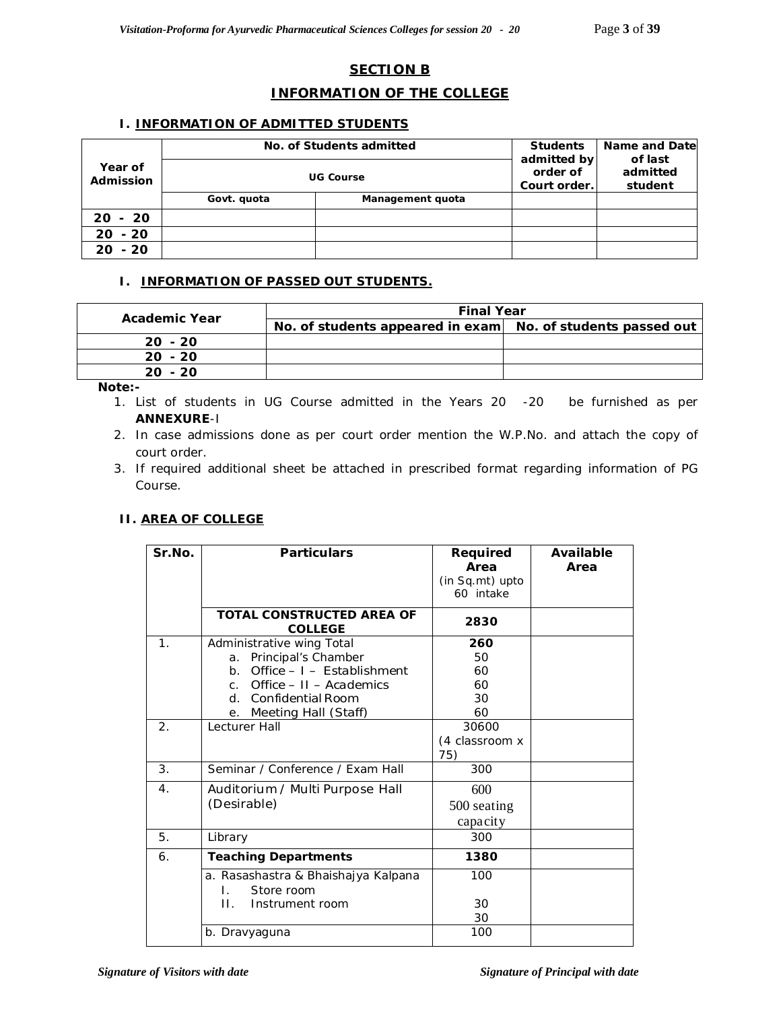# **SECTION B**

# **INFORMATION OF THE COLLEGE**

### **I. INFORMATION OF ADMITTED STUDENTS**

|                      | No. of Students admitted | <b>Students</b>  | Name and Date<br>of last                |  |
|----------------------|--------------------------|------------------|-----------------------------------------|--|
| Year of<br>Admission |                          | <b>UG Course</b> | admitted by<br>order of<br>Court order. |  |
|                      | Govt. quota              | Management quota |                                         |  |
| $20 - 20$            |                          |                  |                                         |  |
| $20 - 20$            |                          |                  |                                         |  |
| $20 - 20$            |                          |                  |                                         |  |

### **I. INFORMATION OF PASSED OUT STUDENTS.**

| Academic Year | <b>Final Year</b>                                           |  |  |
|---------------|-------------------------------------------------------------|--|--|
|               | No. of students appeared in exam No. of students passed out |  |  |
| $20 - 20$     |                                                             |  |  |
| $20 - 20$     |                                                             |  |  |
| $20 - 20$     |                                                             |  |  |

*Note:-* 

- *1. List of students in UG Course admitted in the Years 20 -20 be furnished as per ANNEXURE-I*
- *2. In case admissions done as per court order mention the W.P.No. and attach the copy of court order.*
- *3. If required additional sheet be attached in prescribed format regarding information of PG Course.*

# **II. AREA OF COLLEGE**

| Sr.No.           | <b>Particulars</b>                                                                                                                                                      | Required<br>Area<br>(in Sq.mt) upto<br>60 intake | Available<br>Area |
|------------------|-------------------------------------------------------------------------------------------------------------------------------------------------------------------------|--------------------------------------------------|-------------------|
|                  | TOTAL CONSTRUCTED AREA OF<br><b>COLLEGE</b>                                                                                                                             | 2830                                             |                   |
| 1 <sub>1</sub>   | Administrative wing Total<br>a. Principal's Chamber<br>b. Office $-1$ - Establishment<br>c. Office $-11 -$ Academics<br>d. Confidential Room<br>e. Meeting Hall (Staff) | 260<br>50<br>60<br>60<br>30<br>60                |                   |
| 2.               | Lecturer Hall                                                                                                                                                           | 30600<br>(4 classroom x<br>75)                   |                   |
| 3 <sub>1</sub>   | Seminar / Conference / Exam Hall                                                                                                                                        | 300                                              |                   |
| $\overline{4}$ . | Auditorium / Multi Purpose Hall<br>(Desirable)                                                                                                                          | 600<br>500 seating<br>capacity                   |                   |
| 5.               | Library                                                                                                                                                                 | 300                                              |                   |
| 6.               | <b>Teaching Departments</b>                                                                                                                                             | 1380                                             |                   |
|                  | a. Rasashastra & Bhaishajya Kalpana<br>Store room<br>$\mathbf{L}$<br>Ш.<br>Instrument room                                                                              | 100<br>30<br>30                                  |                   |
|                  | b. Dravyaguna                                                                                                                                                           | 100                                              |                   |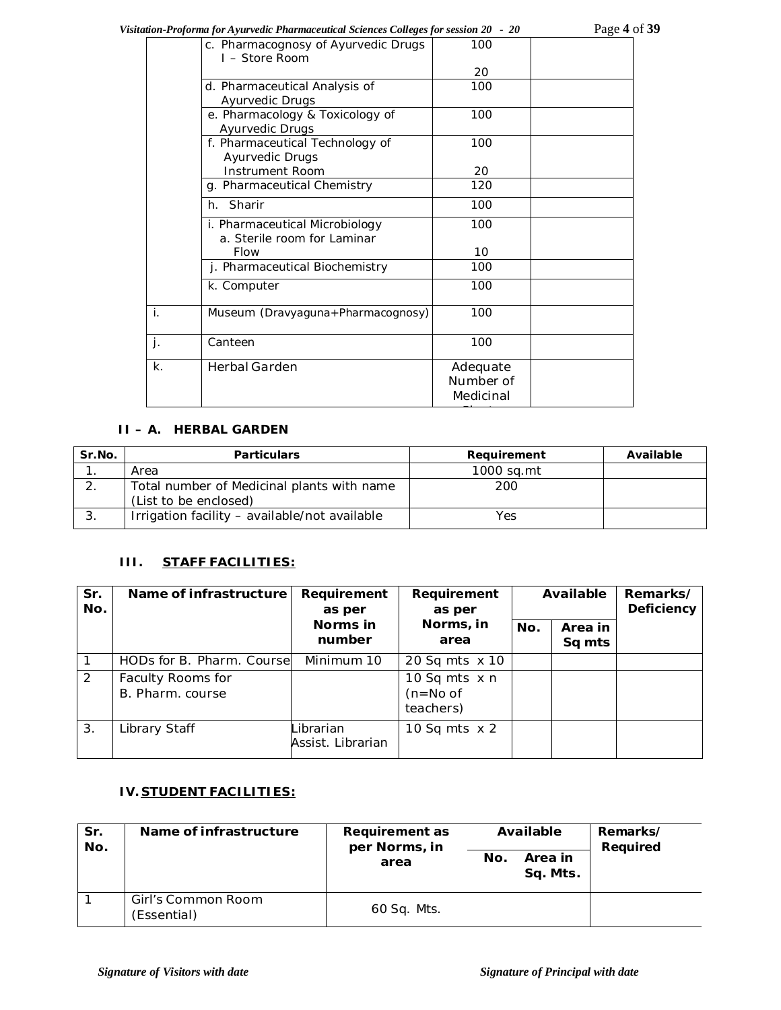*Visitation-Proforma for Ayurvedic Pharmaceutical Sciences Colleges for session 20 - 20* Page **4** of **39**

|                           | c. Pharmacognosy of Ayurvedic Drugs<br>I – Store Room | 100       |  |
|---------------------------|-------------------------------------------------------|-----------|--|
|                           |                                                       | 20        |  |
|                           | d. Pharmaceutical Analysis of                         | 100       |  |
|                           | <b>Ayurvedic Drugs</b>                                |           |  |
|                           | e. Pharmacology & Toxicology of                       | 100       |  |
|                           | Ayurvedic Drugs                                       |           |  |
|                           | f. Pharmaceutical Technology of                       | 100       |  |
|                           | Ayurvedic Drugs                                       |           |  |
|                           | <b>Instrument Room</b>                                | 20        |  |
|                           | g. Pharmaceutical Chemistry                           | 120       |  |
|                           | h. Sharir                                             | 100       |  |
|                           | i. Pharmaceutical Microbiology                        | 100       |  |
|                           | a. Sterile room for Laminar                           |           |  |
|                           | <b>Flow</b>                                           | 10        |  |
|                           | j. Pharmaceutical Biochemistry                        | 100       |  |
|                           | k. Computer                                           | 100       |  |
| ī.                        | Museum (Dravyaguna+Pharmacognosy)                     | 100       |  |
| $\overline{\mathbf{j}}$ . | Canteen                                               | 100       |  |
| k.                        | Herbal Garden                                         | Adequate  |  |
|                           |                                                       | Number of |  |
|                           |                                                       | Medicinal |  |
|                           |                                                       |           |  |
|                           |                                                       |           |  |

# **II – A. HERBAL GARDEN**

| Sr.No. | <b>Particulars</b>                            | Requirement | Available |
|--------|-----------------------------------------------|-------------|-----------|
|        | Area                                          | 1000 sa.mt  |           |
|        | Total number of Medicinal plants with name    | 200         |           |
|        | (List to be enclosed)                         |             |           |
|        | Irrigation facility - available/not available | Yes         |           |

# **III. STAFF FACILITIES:**

| Sr.<br>No. | Name of infrastructure                | Requirement<br>as per          | Requirement<br>as per                           | Available |                   | Remarks/<br><b>Deficiency</b> |
|------------|---------------------------------------|--------------------------------|-------------------------------------------------|-----------|-------------------|-------------------------------|
|            |                                       | Norms in<br>number             | Norms, in<br>area                               | No.       | Area in<br>Sq mts |                               |
|            | HODs for B. Pharm. Coursel            | Minimum 10                     | 20 Sq mts x 10                                  |           |                   |                               |
| 2          | Faculty Rooms for<br>B. Pharm. course |                                | 10 Sq mts $\times$ n<br>$(n=No of$<br>teachers) |           |                   |                               |
| 3.         | Library Staff                         | Librarian<br>Assist. Librarian | 10 Sq mts $\times$ 2                            |           |                   |                               |

# **IV. STUDENT FACILITIES:**

| Sr.<br>No. | Name of infrastructure            | Requirement as<br>per Norms, in | Available                  | Remarks/<br>Required |
|------------|-----------------------------------|---------------------------------|----------------------------|----------------------|
|            |                                   | area                            | Area in<br>No.<br>Sq. Mts. |                      |
|            | Girl's Common Room<br>(Essential) | 60 Sq. Mts.                     |                            |                      |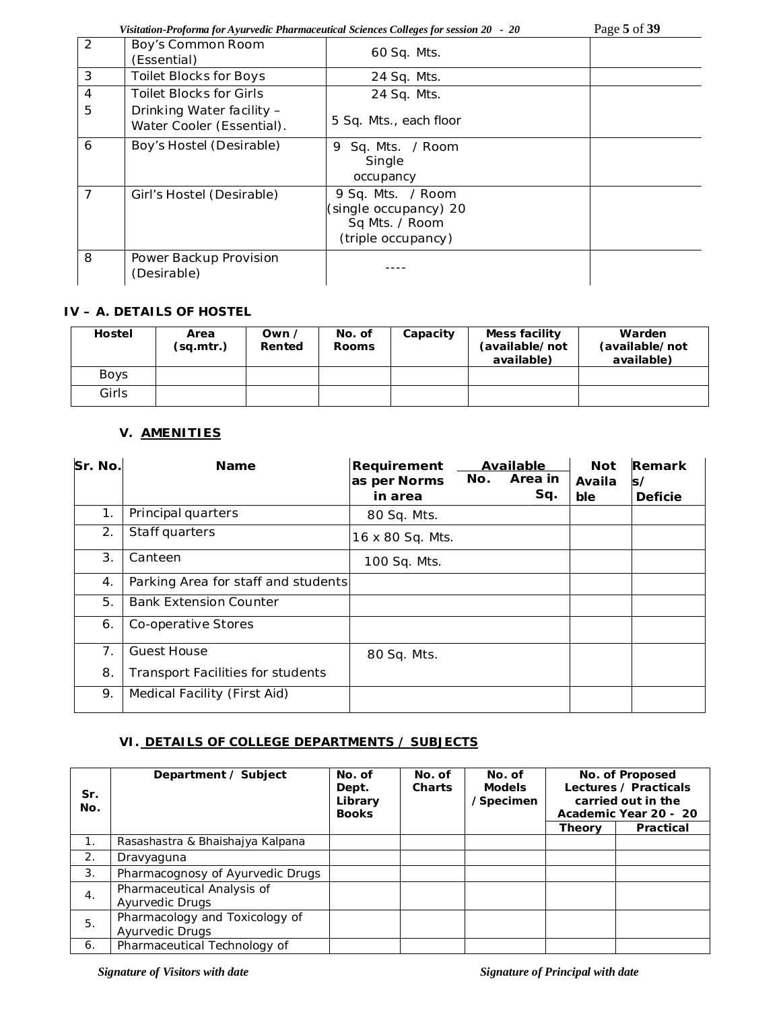*Visitation-Proforma for Ayurvedic Pharmaceutical Sciences Colleges for session 20 - 20* Page **5** of **39**

| 2              | Boy's Common Room<br>(Essential)                       | 60 Sq. Mts.                                                                        |  |
|----------------|--------------------------------------------------------|------------------------------------------------------------------------------------|--|
| 3              | <b>Toilet Blocks for Boys</b>                          | 24 Sq. Mts.                                                                        |  |
| $\overline{4}$ | <b>Toilet Blocks for Girls</b>                         | 24 Sq. Mts.                                                                        |  |
| 5              | Drinking Water facility -<br>Water Cooler (Essential). | 5 Sq. Mts., each floor                                                             |  |
| 6              | Boy's Hostel (Desirable)                               | Sq. Mts. / Room<br>9<br>Single<br>occupancy                                        |  |
| $\overline{7}$ | Girl's Hostel (Desirable)                              | 9 Sq. Mts. / Room<br>(single occupancy) 20<br>Sq Mts. / Room<br>(triple occupancy) |  |
| 8              | Power Backup Provision<br>(Desirable)                  |                                                                                    |  |

# **IV – A. DETAILS OF HOSTEL**

| <b>Hostel</b> | Area<br>(sq.mtr.) | Own /<br>Rented | No. of<br><b>Rooms</b> | Capacity | Mess facility<br>(available/not<br>available) | Warden<br>(available/not<br>available) |
|---------------|-------------------|-----------------|------------------------|----------|-----------------------------------------------|----------------------------------------|
| <b>Boys</b>   |                   |                 |                        |          |                                               |                                        |
| Girls         |                   |                 |                        |          |                                               |                                        |

# **V. AMENITIES**

| Sr. No. | <b>Name</b>                              | Requirement<br>as per Norms<br>in area | No. | Available<br>Area in<br>Sq. | <b>Not</b><br>Availa<br>ble | Remark<br>s/<br><b>Deficie</b> |
|---------|------------------------------------------|----------------------------------------|-----|-----------------------------|-----------------------------|--------------------------------|
| 1.      | Principal quarters                       | 80 Sq. Mts.                            |     |                             |                             |                                |
| 2.      | Staff quarters                           | 16 x 80 Sq. Mts.                       |     |                             |                             |                                |
| 3.      | Canteen                                  | 100 Sq. Mts.                           |     |                             |                             |                                |
| 4.      | Parking Area for staff and students      |                                        |     |                             |                             |                                |
| 5.      | <b>Bank Extension Counter</b>            |                                        |     |                             |                             |                                |
| 6.      | Co-operative Stores                      |                                        |     |                             |                             |                                |
| 7.      | <b>Guest House</b>                       | 80 Sq. Mts.                            |     |                             |                             |                                |
| 8.      | <b>Transport Facilities for students</b> |                                        |     |                             |                             |                                |
| 9.      | Medical Facility (First Aid)             |                                        |     |                             |                             |                                |

# **VI. DETAILS OF COLLEGE DEPARTMENTS / SUBJECTS**

| Sr.<br>No. | Department / Subject                              | No. of<br>Dept.<br>Library<br><b>Books</b> | No. of<br><b>Charts</b> | No. of<br><b>Models</b><br>/Specimen |        | No. of Proposed<br>Lectures / Practicals<br>carried out in the<br>Academic Year 20 - 20 |
|------------|---------------------------------------------------|--------------------------------------------|-------------------------|--------------------------------------|--------|-----------------------------------------------------------------------------------------|
|            |                                                   |                                            |                         |                                      | Theory | Practical                                                                               |
| 1.         | Rasashastra & Bhaishajya Kalpana                  |                                            |                         |                                      |        |                                                                                         |
| 2.         | Dravyaguna                                        |                                            |                         |                                      |        |                                                                                         |
| 3.         | Pharmacognosy of Ayurvedic Drugs                  |                                            |                         |                                      |        |                                                                                         |
| 4.         | Pharmaceutical Analysis of<br>Ayurvedic Drugs     |                                            |                         |                                      |        |                                                                                         |
| 5.         | Pharmacology and Toxicology of<br>Ayurvedic Drugs |                                            |                         |                                      |        |                                                                                         |
| 6.         | Pharmaceutical Technology of                      |                                            |                         |                                      |        |                                                                                         |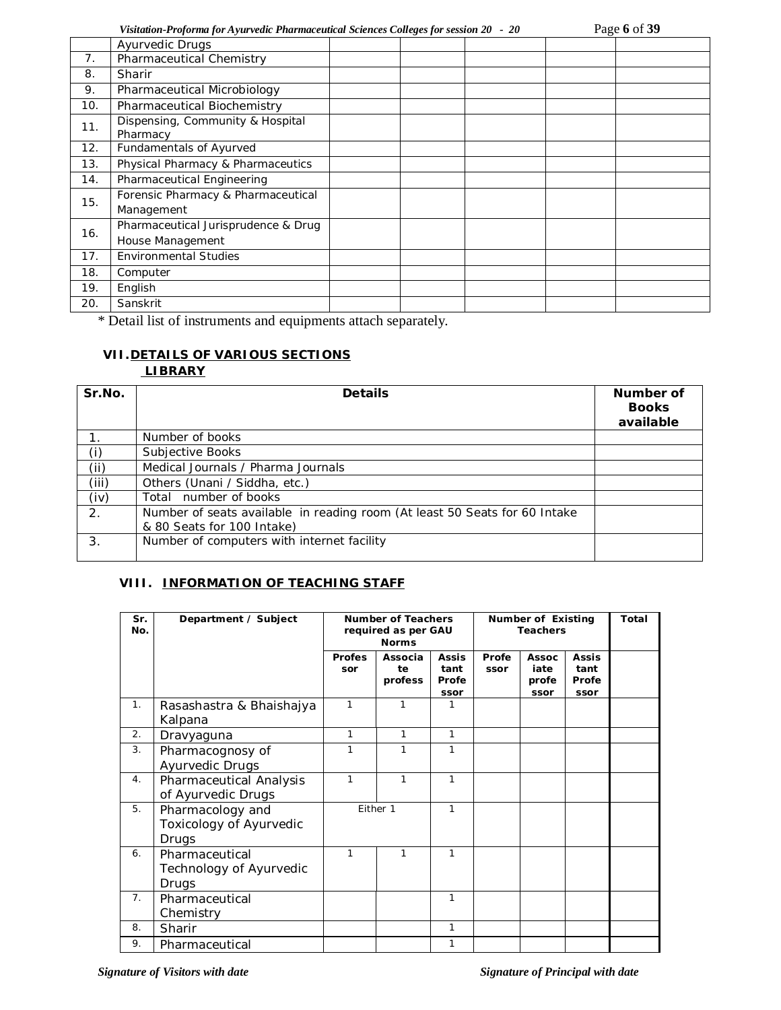|     | <b>Ayurvedic Drugs</b>                       |          |  |  |
|-----|----------------------------------------------|----------|--|--|
| 7.  | Pharmaceutical Chemistry                     |          |  |  |
| 8.  | Sharir                                       |          |  |  |
| 9.  | Pharmaceutical Microbiology                  |          |  |  |
| 10. | Pharmaceutical Biochemistry                  |          |  |  |
| 11. | Dispensing, Community & Hospital<br>Pharmacy |          |  |  |
| 12. | Fundamentals of Ayurved                      |          |  |  |
| 13. | Physical Pharmacy & Pharmaceutics            |          |  |  |
| 14. | Pharmaceutical Engineering                   |          |  |  |
| 15. | Forensic Pharmacy & Pharmaceutical           |          |  |  |
|     | Management                                   |          |  |  |
| 16. | Pharmaceutical Jurisprudence & Drug          |          |  |  |
|     | House Management                             |          |  |  |
| 17. | <b>Environmental Studies</b>                 |          |  |  |
| 18. | Computer                                     |          |  |  |
| 19. | English                                      |          |  |  |
| 20. | Sanskrit                                     |          |  |  |
|     | $\cdot$                                      | $\sim$ 1 |  |  |

\* Detail list of instruments and equipments attach separately.

# **VII.DETAILS OF VARIOUS SECTIONS**

# **LIBRARY**

| Sr.No.         | <b>Details</b>                                                                                           | Number of<br><b>Books</b><br>available |
|----------------|----------------------------------------------------------------------------------------------------------|----------------------------------------|
| $\mathbf{1}$ . | Number of books                                                                                          |                                        |
| (i)            | Subjective Books                                                                                         |                                        |
| (i)            | Medical Journals / Pharma Journals                                                                       |                                        |
| (iii)          | Others (Unani / Siddha, etc.)                                                                            |                                        |
| (iv)           | Total number of books                                                                                    |                                        |
| 2.             | Number of seats available in reading room (At least 50 Seats for 60 Intake<br>& 80 Seats for 100 Intake) |                                        |
| 3.             | Number of computers with internet facility                                                               |                                        |

# **VIII. INFORMATION OF TEACHING STAFF**

| Sr.<br>No. | Department / Subject                                 | <b>Number of Teachers</b><br>required as per GAU<br><b>Norms</b> |                          |                                       | Number of Existing<br><b>Teachers</b> |                                       |                                       | Total |
|------------|------------------------------------------------------|------------------------------------------------------------------|--------------------------|---------------------------------------|---------------------------------------|---------------------------------------|---------------------------------------|-------|
|            |                                                      | <b>Profes</b><br>sor                                             | Associa<br>te<br>profess | <b>Assis</b><br>tant<br>Profe<br>ssor | Profe<br>ssor                         | <b>Assoc</b><br>iate<br>profe<br>ssor | <b>Assis</b><br>tant<br>Profe<br>ssor |       |
| 1.         | Rasashastra & Bhaishajya<br>Kalpana                  | 1                                                                | 1                        |                                       |                                       |                                       |                                       |       |
| 2.         | Dravyaguna                                           | 1                                                                | $\mathbf{1}$             | 1                                     |                                       |                                       |                                       |       |
| 3.         | Pharmacognosy of<br>Ayurvedic Drugs                  | 1                                                                | 1                        | 1                                     |                                       |                                       |                                       |       |
| 4.         | Pharmaceutical Analysis<br>of Ayurvedic Drugs        | 1                                                                | $\mathbf{1}$             | 1                                     |                                       |                                       |                                       |       |
| 5.         | Pharmacology and<br>Toxicology of Ayurvedic<br>Drugs | Either 1                                                         |                          | 1                                     |                                       |                                       |                                       |       |
| 6.         | Pharmaceutical<br>Technology of Ayurvedic<br>Drugs   | 1                                                                | 1                        | 1                                     |                                       |                                       |                                       |       |
| 7.         | Pharmaceutical<br>Chemistry                          |                                                                  |                          | 1                                     |                                       |                                       |                                       |       |
| 8.         | Sharir                                               |                                                                  |                          | 1                                     |                                       |                                       |                                       |       |
| 9.         | Pharmaceutical                                       |                                                                  |                          | 1                                     |                                       |                                       |                                       |       |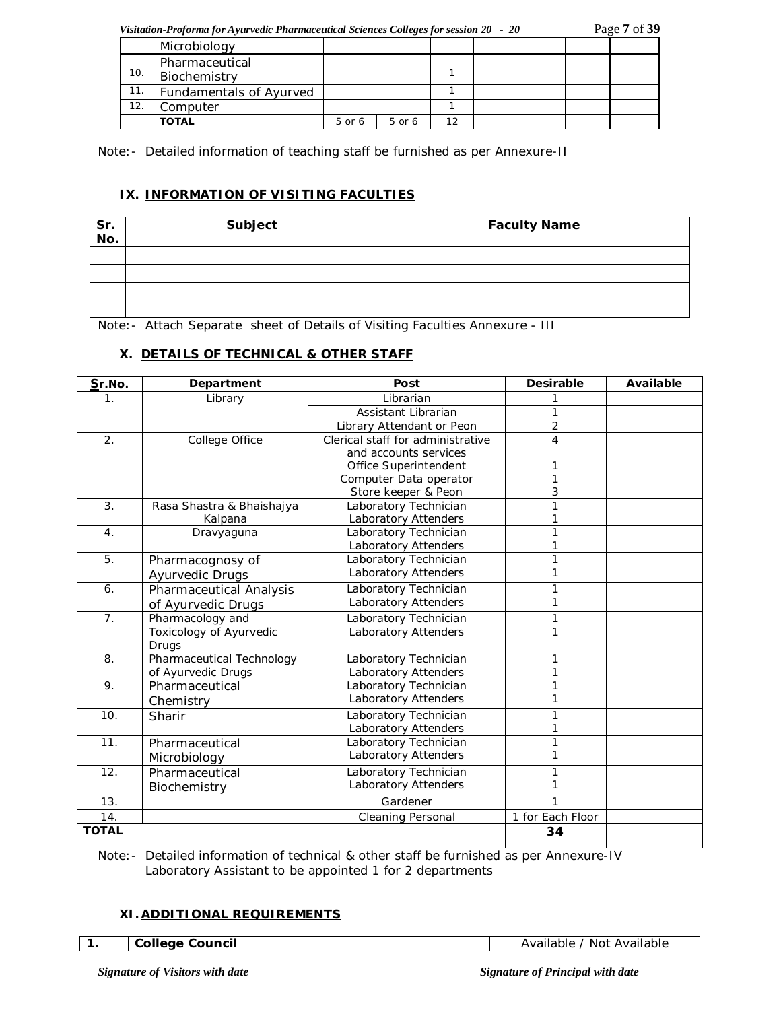*Visitation-Proforma for Ayurvedic Pharmaceutical Sciences Colleges for session 20 - 20* Page **7** of **39**

|     | Microbiology            |        |        |    |  |  |  |
|-----|-------------------------|--------|--------|----|--|--|--|
| 10. | Pharmaceutical          |        |        |    |  |  |  |
|     | Biochemistry            |        |        |    |  |  |  |
| 11. | Fundamentals of Ayurved |        |        |    |  |  |  |
| 12. | Computer                |        |        |    |  |  |  |
|     | <b>TOTAL</b>            | 5 or 6 | 5 or 6 | 12 |  |  |  |

Note:- Detailed information of teaching staff be furnished as per Annexure-II

# **IX. INFORMATION OF VISITING FACULTIES**

| Sr.<br>No. | Subject | <b>Faculty Name</b> |
|------------|---------|---------------------|
|            |         |                     |
|            |         |                     |
|            |         |                     |
|            |         |                     |

Note:- Attach Separate sheet of Details of Visiting Faculties Annexure - III

# **X. DETAILS OF TECHNICAL & OTHER STAFF**

| Sr.No.           | Department                | Post                              | <b>Desirable</b> | <b>Available</b> |
|------------------|---------------------------|-----------------------------------|------------------|------------------|
| 1.               | Library                   | Librarian                         |                  |                  |
|                  |                           | Assistant Librarian               | 1                |                  |
|                  |                           | Library Attendant or Peon         | $\overline{2}$   |                  |
| 2.               | College Office            | Clerical staff for administrative | 4                |                  |
|                  |                           | and accounts services             |                  |                  |
|                  |                           | Office Superintendent             |                  |                  |
|                  |                           | Computer Data operator            |                  |                  |
|                  |                           | Store keeper & Peon               | 3                |                  |
| 3.               | Rasa Shastra & Bhaishajya | Laboratory Technician             | 1                |                  |
|                  | Kalpana                   | Laboratory Attenders              |                  |                  |
| $\overline{4}$ . | Dravyaguna                | Laboratory Technician             |                  |                  |
|                  |                           | Laboratory Attenders              |                  |                  |
| $\overline{5}$ . | Pharmacognosy of          | Laboratory Technician             |                  |                  |
|                  | Ayurvedic Drugs           | Laboratory Attenders              |                  |                  |
| 6.               | Pharmaceutical Analysis   | Laboratory Technician             |                  |                  |
|                  | of Ayurvedic Drugs        | Laboratory Attenders              |                  |                  |
| 7 <sub>1</sub>   | Pharmacology and          | Laboratory Technician             | 1                |                  |
|                  | Toxicology of Ayurvedic   | Laboratory Attenders              |                  |                  |
|                  | Drugs                     |                                   |                  |                  |
| 8.               | Pharmaceutical Technology | Laboratory Technician             |                  |                  |
|                  | of Ayurvedic Drugs        | Laboratory Attenders              |                  |                  |
| 9.               | Pharmaceutical            | Laboratory Technician             |                  |                  |
|                  | Chemistry                 | Laboratory Attenders              |                  |                  |
| 10.              | Sharir                    | Laboratory Technician             |                  |                  |
|                  |                           | Laboratory Attenders              |                  |                  |
| 11.              | Pharmaceutical            | Laboratory Technician             |                  |                  |
|                  | Microbiology              | Laboratory Attenders              |                  |                  |
| 12.              | Pharmaceutical            | Laboratory Technician             |                  |                  |
|                  | Biochemistry              | Laboratory Attenders              |                  |                  |
| 13.              |                           | Gardener                          | 1                |                  |
| 14.              |                           | <b>Cleaning Personal</b>          | 1 for Each Floor |                  |
| <b>TOTAL</b>     |                           |                                   | 34               |                  |

Note:- Detailed information of technical & other staff be furnished as per Annexure-IV Laboratory Assistant to be appointed 1 for 2 departments

# **XI.ADDITIONAL REQUIREMENTS**

Available / Not Available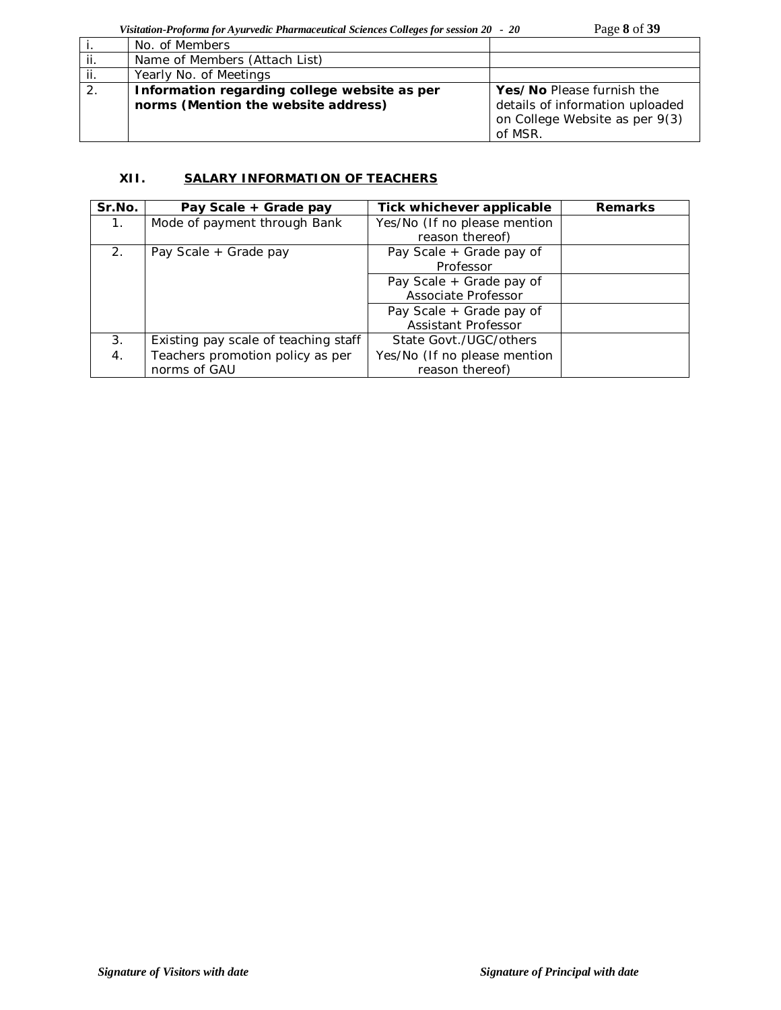|     | No. of Members                                                                      |                                                                                                           |
|-----|-------------------------------------------------------------------------------------|-----------------------------------------------------------------------------------------------------------|
| ii. | Name of Members (Attach List)                                                       |                                                                                                           |
| ji. | Yearly No. of Meetings                                                              |                                                                                                           |
| 2.  | Information regarding college website as per<br>norms (Mention the website address) | Yes/No Please furnish the<br>details of information uploaded<br>on College Website as per 9(3)<br>of MSR. |

# **XII. SALARY INFORMATION OF TEACHERS**

| Sr.No.      | Pay Scale + Grade pay                | Tick whichever applicable    | <b>Remarks</b> |
|-------------|--------------------------------------|------------------------------|----------------|
| $1_{\cdot}$ | Mode of payment through Bank         | Yes/No (If no please mention |                |
|             |                                      | reason thereof)              |                |
| 2.          | Pay Scale + Grade pay                | Pay Scale + Grade pay of     |                |
|             |                                      | Professor                    |                |
|             |                                      | Pay Scale + Grade pay of     |                |
|             |                                      | Associate Professor          |                |
|             |                                      | Pay Scale + Grade pay of     |                |
|             |                                      | Assistant Professor          |                |
| 3.          | Existing pay scale of teaching staff | State Govt./UGC/others       |                |
| 4.          | Teachers promotion policy as per     | Yes/No (If no please mention |                |
|             | norms of GAU                         | reason thereof)              |                |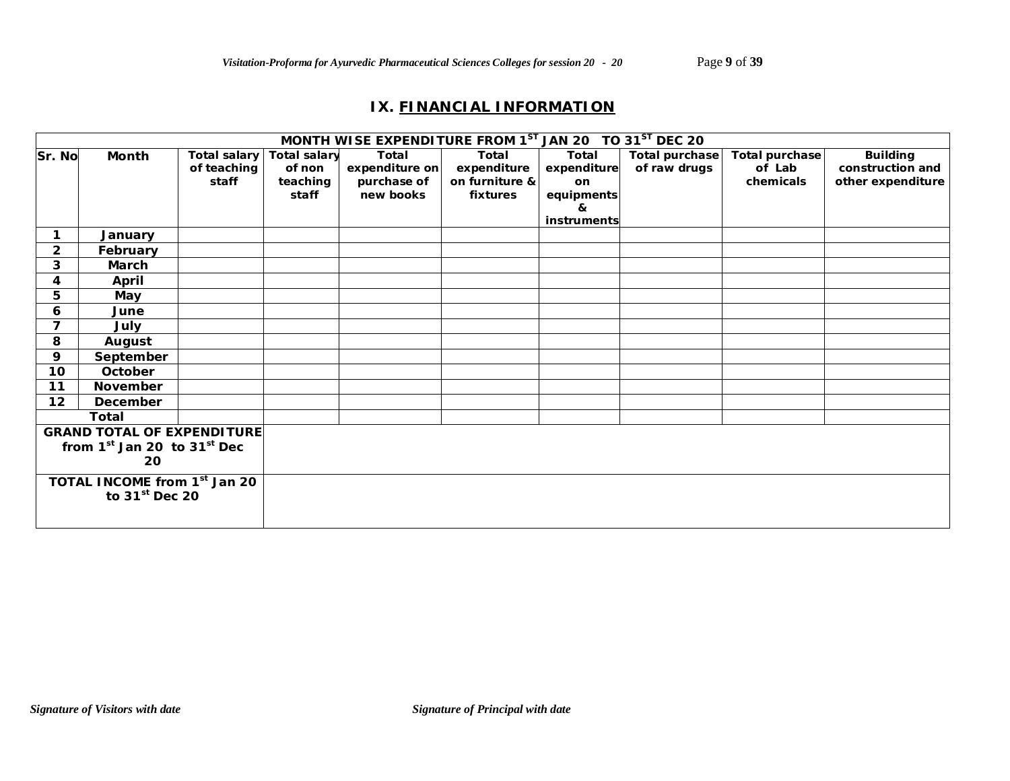# **IX. FINANCIAL INFORMATION**

|                                          |                                   |              |                     | MONTH WISE EXPENDITURE FROM 1ST JAN 20 TO 31ST DEC 20 |                |              |                       |                |                   |
|------------------------------------------|-----------------------------------|--------------|---------------------|-------------------------------------------------------|----------------|--------------|-----------------------|----------------|-------------------|
| Sr. No                                   | Month                             | Total salary | <b>Total salary</b> | Total                                                 | Total          | <b>Total</b> | <b>Total purchase</b> | Total purchase | <b>Building</b>   |
|                                          |                                   | of teaching  | of non              | expenditure on                                        | expenditure    | expenditure  | of raw drugs          | of Lab         | construction and  |
|                                          |                                   | staff        | teaching            | purchase of                                           | on furniture & | on           |                       | chemicals      | other expenditure |
|                                          |                                   |              | staff               | new books                                             | fixtures       | equipments   |                       |                |                   |
|                                          |                                   |              |                     |                                                       |                | &            |                       |                |                   |
|                                          |                                   |              |                     |                                                       |                | instruments  |                       |                |                   |
| 1.                                       | January                           |              |                     |                                                       |                |              |                       |                |                   |
| $\overline{2}$                           | February                          |              |                     |                                                       |                |              |                       |                |                   |
| 3                                        | <b>March</b>                      |              |                     |                                                       |                |              |                       |                |                   |
| 4                                        | April                             |              |                     |                                                       |                |              |                       |                |                   |
| 5                                        | May                               |              |                     |                                                       |                |              |                       |                |                   |
| 6                                        | June                              |              |                     |                                                       |                |              |                       |                |                   |
| $\overline{ }$                           | July                              |              |                     |                                                       |                |              |                       |                |                   |
| 8                                        | August                            |              |                     |                                                       |                |              |                       |                |                   |
| 9                                        | September                         |              |                     |                                                       |                |              |                       |                |                   |
| 10 <sub>1</sub>                          | October                           |              |                     |                                                       |                |              |                       |                |                   |
| 11                                       | November                          |              |                     |                                                       |                |              |                       |                |                   |
| 12                                       | December                          |              |                     |                                                       |                |              |                       |                |                   |
|                                          | <b>Total</b>                      |              |                     |                                                       |                |              |                       |                |                   |
|                                          | <b>GRAND TOTAL OF EXPENDITURE</b> |              |                     |                                                       |                |              |                       |                |                   |
| from $1st$ Jan 20 to $31st$ Dec          |                                   |              |                     |                                                       |                |              |                       |                |                   |
| 20                                       |                                   |              |                     |                                                       |                |              |                       |                |                   |
| TOTAL INCOME from 1 <sup>st</sup> Jan 20 |                                   |              |                     |                                                       |                |              |                       |                |                   |
| to $31st$ Dec 20                         |                                   |              |                     |                                                       |                |              |                       |                |                   |
|                                          |                                   |              |                     |                                                       |                |              |                       |                |                   |
|                                          |                                   |              |                     |                                                       |                |              |                       |                |                   |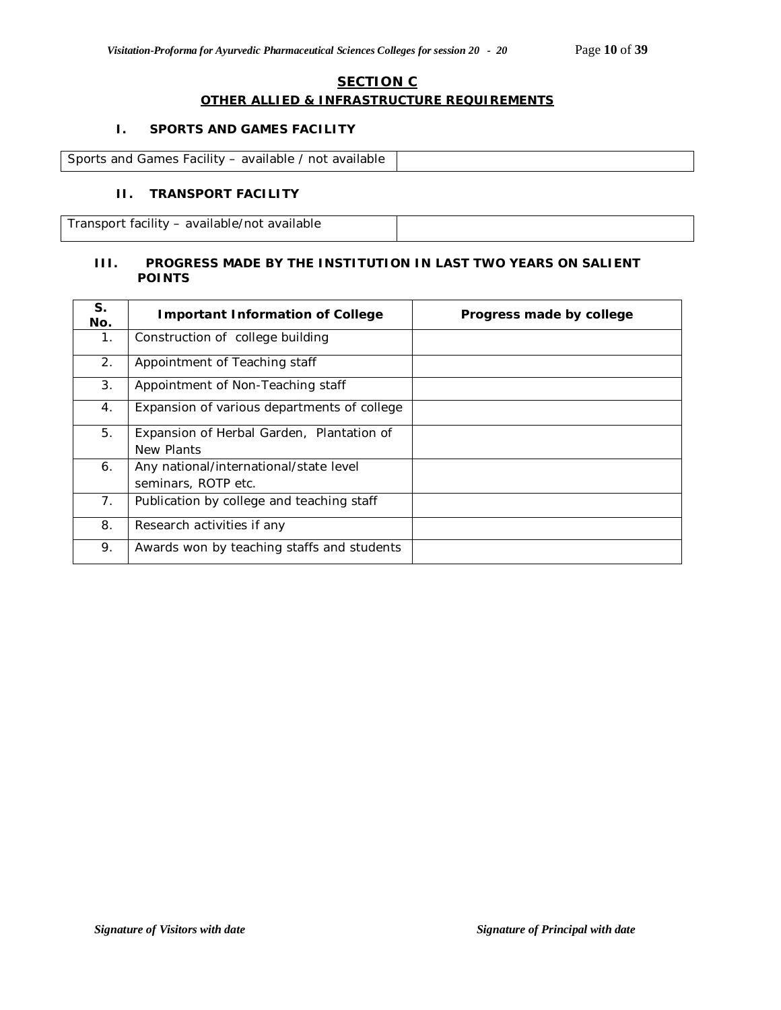# **SECTION C OTHER ALLIED & INFRASTRUCTURE REQUIREMENTS**

### **I. SPORTS AND GAMES FACILITY**

| Sports and Games Facility - available / not available |  |
|-------------------------------------------------------|--|

# **II. TRANSPORT FACILITY**

Transport facility – available/not available

### **III. PROGRESS MADE BY THE INSTITUTION IN LAST TWO YEARS ON SALIENT POINTS**

| S.<br>No. | <b>Important Information of College</b>                       | Progress made by college |
|-----------|---------------------------------------------------------------|--------------------------|
| 1.        | Construction of college building                              |                          |
| 2.        | Appointment of Teaching staff                                 |                          |
| 3.        | Appointment of Non-Teaching staff                             |                          |
| 4.        | Expansion of various departments of college                   |                          |
| 5.        | Expansion of Herbal Garden, Plantation of<br>New Plants       |                          |
| 6.        | Any national/international/state level<br>seminars, ROTP etc. |                          |
| 7.        | Publication by college and teaching staff                     |                          |
| 8.        | Research activities if any                                    |                          |
| 9.        | Awards won by teaching staffs and students                    |                          |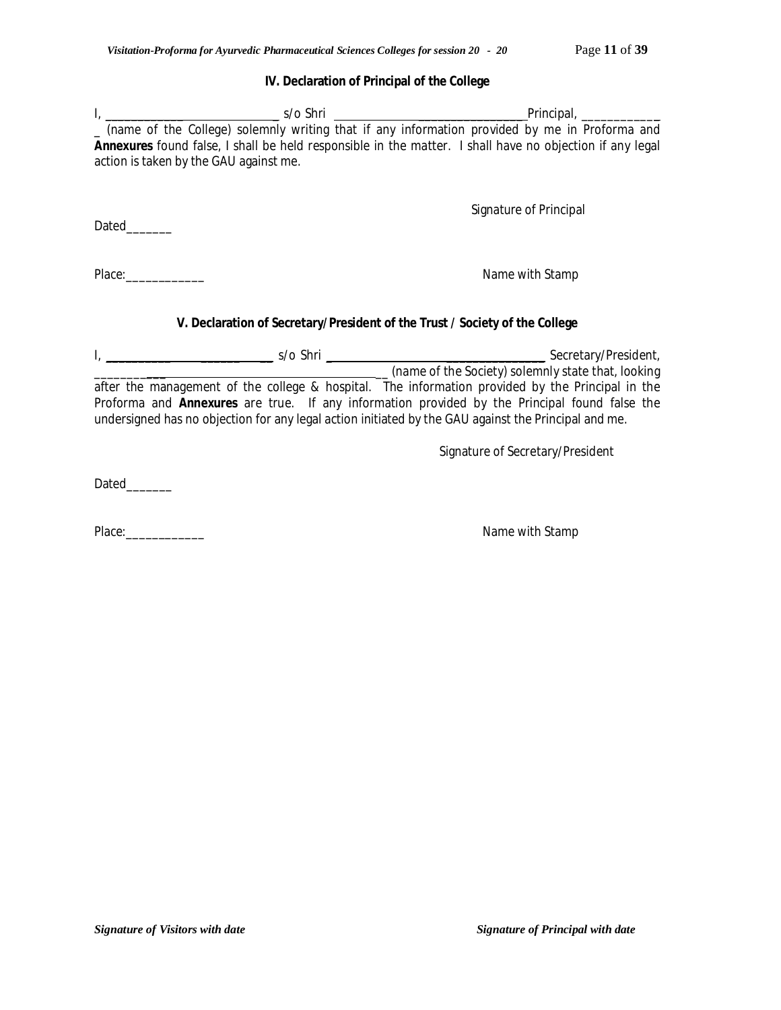#### **IV. Declaration of Principal of the College**

|                                                                                                                                                                                                                                | l, __________________________________s/o Shri ___________________________________Principal, ______________ |
|--------------------------------------------------------------------------------------------------------------------------------------------------------------------------------------------------------------------------------|------------------------------------------------------------------------------------------------------------|
|                                                                                                                                                                                                                                | _ (name of the College) solemnly writing that if any information provided by me in Proforma and            |
| action is taken by the GAU against me.                                                                                                                                                                                         | Annexures found false, I shall be held responsible in the matter. I shall have no objection if any legal   |
|                                                                                                                                                                                                                                |                                                                                                            |
|                                                                                                                                                                                                                                | Signature of Principal                                                                                     |
| Dated <sub>1</sub>                                                                                                                                                                                                             |                                                                                                            |
|                                                                                                                                                                                                                                |                                                                                                            |
| Place: and the planet of the planet of the planet of the planet of the planet of the planet of the planet of the planet of the planet of the planet of the planet of the planet of the planet of the planet of the planet of t | Name with Stamp                                                                                            |
|                                                                                                                                                                                                                                |                                                                                                            |
|                                                                                                                                                                                                                                | V. Declaration of Secretary/President of the Trust / Society of the College                                |
|                                                                                                                                                                                                                                |                                                                                                            |
|                                                                                                                                                                                                                                | (name of the Society) solemnly state that, looking                                                         |

after the management of the college & hospital. The information provided by the Principal in the Proforma and **Annexures** are true. If any information provided by the Principal found false the undersigned has no objection for any legal action initiated by the GAU against the Principal and me.

Signature of Secretary/President

Dated\_\_\_\_\_\_\_

Place:\_\_\_\_\_\_\_\_\_\_\_\_ Name with Stamp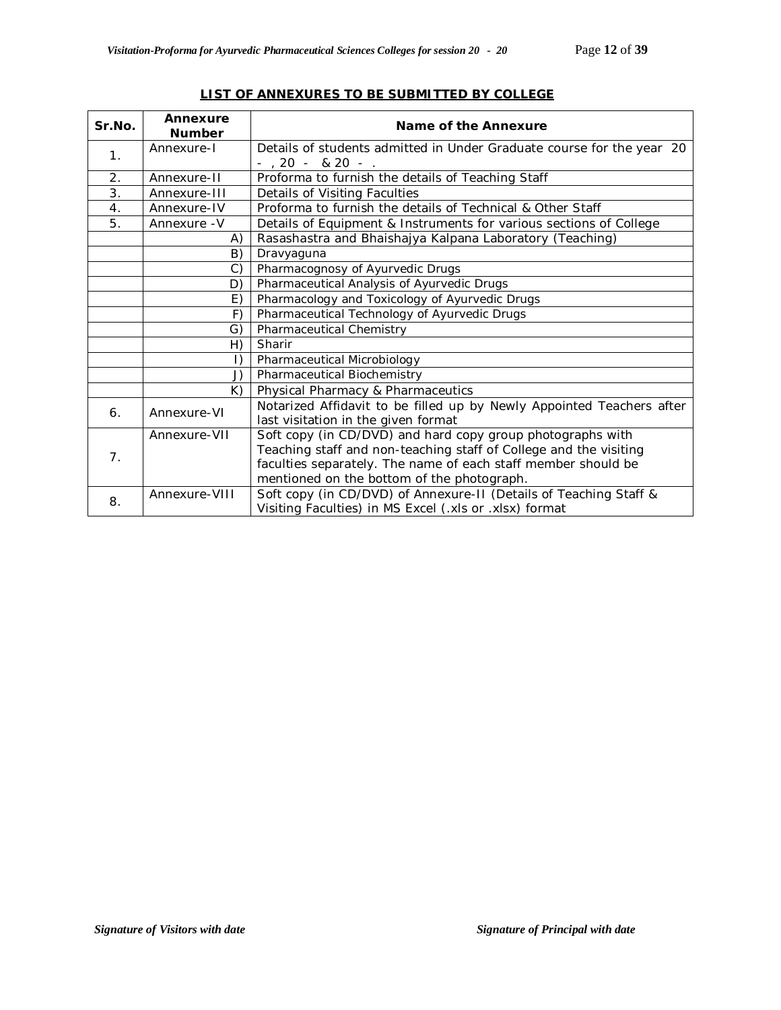| Sr.No.         | Annexure<br><b>Number</b> | Name of the Annexure                                                  |
|----------------|---------------------------|-----------------------------------------------------------------------|
| 1 <sub>1</sub> | Annexure-I                | Details of students admitted in Under Graduate course for the year 20 |
|                |                           | $-$ , 20 $-$ & 20 $-$ .                                               |
| 2.             | Annexure-II               | Proforma to furnish the details of Teaching Staff                     |
| 3.             | Annexure-III              | Details of Visiting Faculties                                         |
| 4.             | Annexure-IV               | Proforma to furnish the details of Technical & Other Staff            |
| 5.             | Annexure - V              | Details of Equipment & Instruments for various sections of College    |
|                | A)                        | Rasashastra and Bhaishajya Kalpana Laboratory (Teaching)              |
|                | B)                        | Dravyaguna                                                            |
|                | C)                        | Pharmacognosy of Ayurvedic Drugs                                      |
|                | D)                        | Pharmaceutical Analysis of Ayurvedic Drugs                            |
|                | E)                        | Pharmacology and Toxicology of Ayurvedic Drugs                        |
|                | F)                        | Pharmaceutical Technology of Ayurvedic Drugs                          |
|                | G)                        | Pharmaceutical Chemistry                                              |
|                | H)                        | Sharir                                                                |
|                | $\vert$ )                 | Pharmaceutical Microbiology                                           |
|                | J)                        | Pharmaceutical Biochemistry                                           |
|                | K)                        | Physical Pharmacy & Pharmaceutics                                     |
| 6 <sub>1</sub> | Annexure-VI               | Notarized Affidavit to be filled up by Newly Appointed Teachers after |
|                |                           | last visitation in the given format                                   |
|                | Annexure-VII              | Soft copy (in CD/DVD) and hard copy group photographs with            |
| 7.             |                           | Teaching staff and non-teaching staff of College and the visiting     |
|                |                           | faculties separately. The name of each staff member should be         |
|                |                           | mentioned on the bottom of the photograph.                            |
| 8.             | Annexure-VIII             | Soft copy (in CD/DVD) of Annexure-II (Details of Teaching Staff &     |
|                |                           | Visiting Faculties) in MS Excel (.xls or .xlsx) format                |

### **LIST OF ANNEXURES TO BE SUBMITTED BY COLLEGE**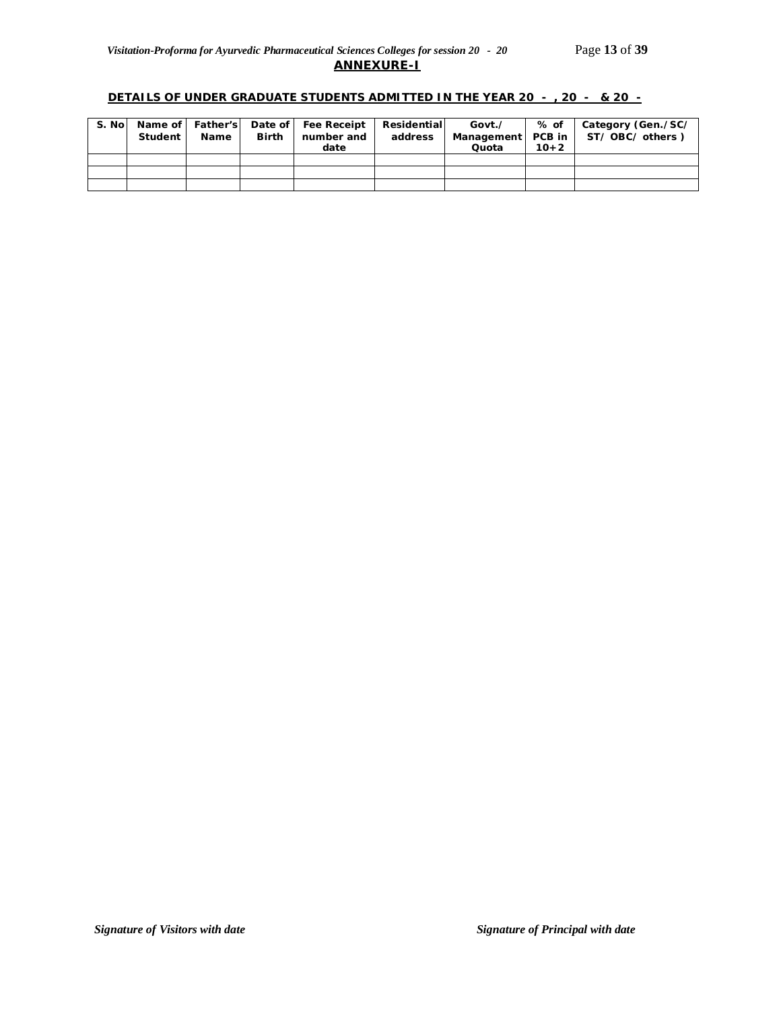#### **DETAILS OF UNDER GRADUATE STUDENTS ADMITTED IN THE YEAR 20 - , 20 - & 20 -**

| S. Nol | Student | <b>Name</b> | <b>Birth</b> | Name of   Father's   Date of   Fee Receipt   Residential<br>number and<br>date | address | Govt./<br>Quota | % of<br>$10+2$ | Category (Gen./SC/<br>Management   PCB in   ST/OBC/others) |
|--------|---------|-------------|--------------|--------------------------------------------------------------------------------|---------|-----------------|----------------|------------------------------------------------------------|
|        |         |             |              |                                                                                |         |                 |                |                                                            |
|        |         |             |              |                                                                                |         |                 |                |                                                            |
|        |         |             |              |                                                                                |         |                 |                |                                                            |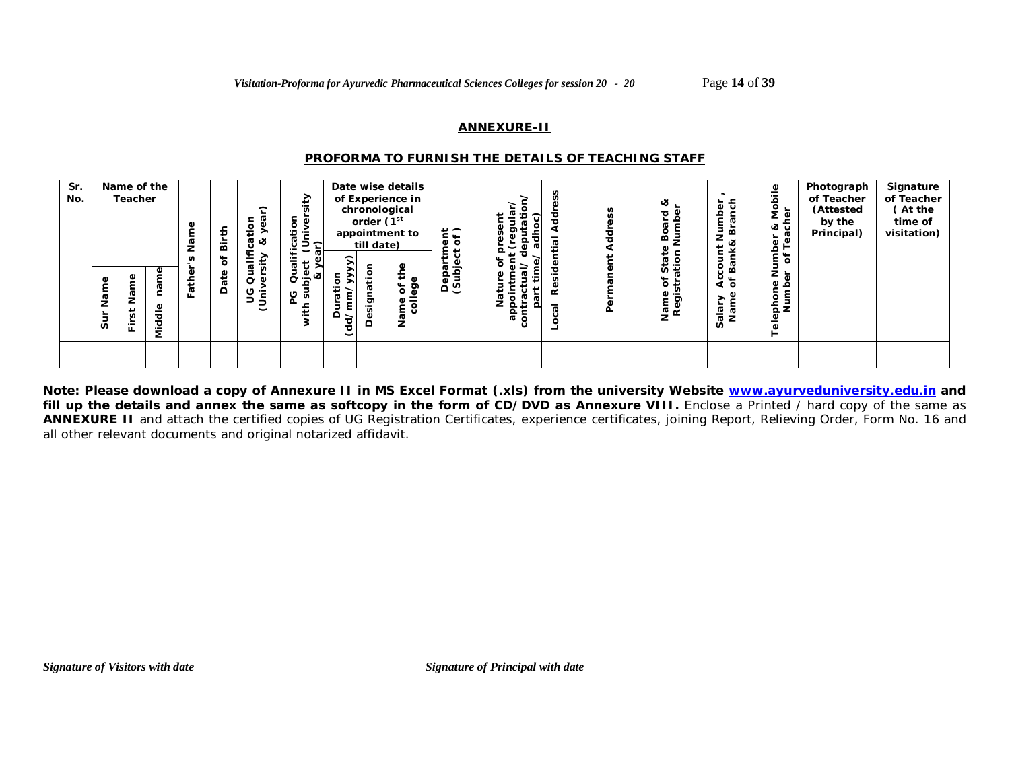#### **ANNEXURE-II**

#### *PROFORMA TO FURNISH THE DETAILS OF TEACHING STAFF*

| Sr.<br>No. | Ф<br>ā۳<br>z<br>w | Name of the<br>Teacher<br>Ф<br>٤<br>ω<br>۵ŗ<br>⊆<br>g<br>Φ<br>$\ddot{\bar{\sigma}}$<br>n<br>훈<br>mid<br>Ni | €<br><b>G</b><br>ட | ≞<br>ä<br>٥ŕ<br>₽<br>å | ⌒<br>ë<br>ര చ<br>ت<br>><br>÷<br>-<br>ø<br>O<br>¢<br>ပ<br>≂<br>ぅ<br>$\check{ }$ | ₽<br>تة:<br>ication<br>Univer;<br>ר)<br>∾⊡<br>မိ<br>5<br>ပ<br>ō<br>主 | ⊂<br>⋗<br>t<br>c<br>(dd/m<br>≏ | chronological<br>order (1 <sup>st</sup><br>till date)<br>atior<br>Š,<br>esi | Date wise details<br>of Experience in<br>appointment to<br>ඉ<br>ð<br>-<br>은 ㅎ<br>z | $\frac{1}{6}$<br>C.<br>4<br>ది లే | Ξ<br>٠<br>രേ | n<br>۹è<br>ಸ | SS<br>τ<br>۹ | త<br>ਹ<br>≃<br>ത<br>ທ ±<br>৳<br>ರಾ<br>ᇢᄙ | Jumber<br>Branch<br><b>Bank&amp;</b><br>ΪŢ,<br>९<br>१०<br>ialary<br>Name | ≗<br>Mobil<br>৳<br>∞ ರ<br>ā<br>par<br>FTeë<br>৳<br>nur<br>Nur<br>ত্ৰ<br>Ф<br>ڡٟ<br>Telephon<br>Num | Photograph<br>of Teacher<br>(Attested<br>by the<br>Principal) | Signature<br>of Teacher<br>(At the<br>time of<br>visitation) |
|------------|-------------------|------------------------------------------------------------------------------------------------------------|--------------------|------------------------|--------------------------------------------------------------------------------|----------------------------------------------------------------------|--------------------------------|-----------------------------------------------------------------------------|------------------------------------------------------------------------------------|-----------------------------------|--------------|--------------|--------------|------------------------------------------|--------------------------------------------------------------------------|----------------------------------------------------------------------------------------------------|---------------------------------------------------------------|--------------------------------------------------------------|
|            |                   |                                                                                                            |                    |                        |                                                                                |                                                                      |                                |                                                                             |                                                                                    |                                   |              |              |              |                                          |                                                                          |                                                                                                    |                                                               |                                                              |

**Note: Please download a copy of Annexure II in MS Excel Format (.xls) from the university Website www.ayurveduniversity.edu.in and**  fill up the details and annex the same as softcopy in the form of CD/DVD as Annexure VIII. Enclose a Printed / hard copy of the same as **ANNEXURE II** and attach the certified copies of UG Registration Certificates, experience certificates, joining Report, Relieving Order, Form No. 16 and all other relevant documents and original notarized affidavit.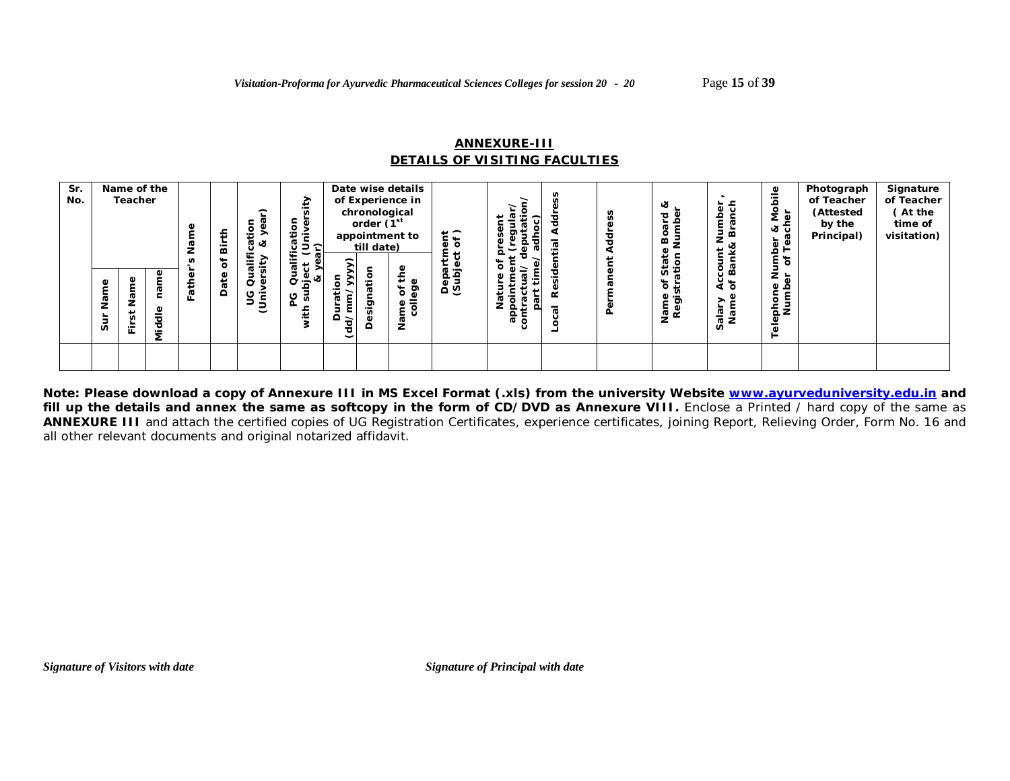#### **ANNEXURE-III** *DETAILS OF VISITING FACULTIES*

| Sr.<br>No. |                      | Name of the<br>Teacher |                             | Φ        | £<br>∸<br>$\mathbf{a}$<br>৳ | $\hat{\phantom{1}}$<br>tio<br>↗<br>∝<br>ത<br>٤<br>↗ | ₽<br>÷<br>ica.<br>Univer<br>$\bar{\phantom{0}}$<br>$-$<br>æ<br>G<br>ౖ |                               | chronological<br>order (1 <sup>st</sup><br>till date) | Date wise details<br>of Experience in<br>appointment to | $\frac{1}{6}$          |          | à<br>ರ | ≪<br>ਠ<br>≃<br>w           | lumber<br>Branch<br>count l'<br>Bank& | ≗<br>ㅎ<br>ē<br>έ<br>∞ ರ<br>t<br>Tea<br>e پر           | Photograph<br>of Teacher<br>(Attested<br>by the<br>Principal) | Signature<br>of Teacher<br>(At the<br>time of<br>visitation) |
|------------|----------------------|------------------------|-----------------------------|----------|-----------------------------|-----------------------------------------------------|-----------------------------------------------------------------------|-------------------------------|-------------------------------------------------------|---------------------------------------------------------|------------------------|----------|--------|----------------------------|---------------------------------------|-------------------------------------------------------|---------------------------------------------------------------|--------------------------------------------------------------|
|            | Φ<br>nen<br>N<br>sur | ౚ<br>n<br>훈            | ٥<br>Ф<br>Φ<br>-<br>공<br>Ξ. | ath<br>ш | Ф<br>흓<br>$\Omega$          | đ<br>S<br>≂<br>$\frac{1}{2}$                        | Ф<br>ಸ<br>∝<br>7<br>ט<br>ದ<br>Ξ                                       | ↗<br>ى<br>≏<br>$\overline{g}$ | ċ٥<br>$\sigma$<br>ත<br><br>۵<br>≏                     | ٥<br>≖<br>C)<br>ē9<br>৳<br>e ai<br>z                    | <u>ន្ត ខ្នុ</u><br>ధ ღ | å<br>움 물 | ٩      | ದ ≑<br>৳<br>Φ<br>ъ.<br>同 盛 | र्थ 'ठ<br>alary<br>Name<br>n          | z<br>놂<br>$\mathbf \omega$<br>흐<br>Tephor<br>Num<br>ق |                                                               |                                                              |
|            |                      |                        |                             |          |                             |                                                     |                                                                       |                               |                                                       |                                                         |                        |          |        |                            |                                       |                                                       |                                                               |                                                              |

**Note: Please download a copy of Annexure III in MS Excel Format (.xls) from the university Website www.ayurveduniversity.edu.in and**  fill up the details and annex the same as softcopy in the form of CD/DVD as Annexure VIII. Enclose a Printed / hard copy of the same as **ANNEXURE III** and attach the certified copies of UG Registration Certificates, experience certificates, joining Report, Relieving Order, Form No. 16 and all other relevant documents and original notarized affidavit.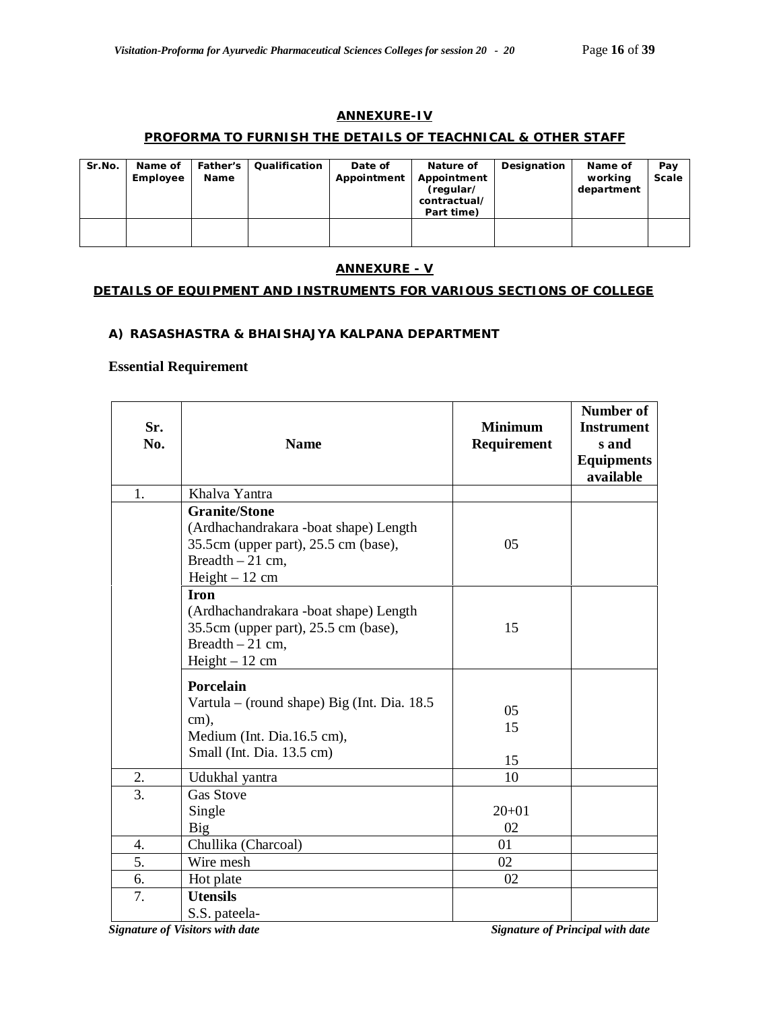### **ANNEXURE-IV**

### **PROFORMA TO FURNISH THE DETAILS OF TEACHNICAL & OTHER STAFF**

| Sr.No. | Name of<br>Employee | <b>Father's</b><br>Name | Qualification | Date of<br>Appointment | Nature of<br>Appointment<br>(regular/<br>contractual/<br>Part time) | Designation | Name of<br>working<br>department | Pay<br><b>Scale</b> |
|--------|---------------------|-------------------------|---------------|------------------------|---------------------------------------------------------------------|-------------|----------------------------------|---------------------|
|        |                     |                         |               |                        |                                                                     |             |                                  |                     |

# **ANNEXURE - V**

# **DETAILS OF EQUIPMENT AND INSTRUMENTS FOR VARIOUS SECTIONS OF COLLEGE**

#### **A) RASASHASTRA & BHAISHAJYA KALPANA DEPARTMENT**

# **Essential Requirement**

| Sr.<br>No. | <b>Name</b>                                                                                                                                    | <b>Minimum</b><br>Requirement | Number of<br><b>Instrument</b><br>s and<br><b>Equipments</b><br>available |
|------------|------------------------------------------------------------------------------------------------------------------------------------------------|-------------------------------|---------------------------------------------------------------------------|
| 1.         | Khalva Yantra                                                                                                                                  |                               |                                                                           |
|            | <b>Granite/Stone</b><br>(Ardhachandrakara -boat shape) Length<br>35.5cm (upper part), 25.5 cm (base),<br>Breadth $-21$ cm,<br>$Height - 12$ cm | 05                            |                                                                           |
|            | <b>Iron</b><br>(Ardhachandrakara -boat shape) Length<br>35.5cm (upper part), 25.5 cm (base),<br>Breadth $-21$ cm,<br>$Height - 12$ cm          | 15                            |                                                                           |
|            | Porcelain<br>Vartula – (round shape) Big (Int. Dia. 18.5<br>cm),<br>Medium (Int. Dia.16.5 cm),<br>Small (Int. Dia. 13.5 cm)                    | 05<br>15<br>15                |                                                                           |
| 2.         | Udukhal yantra                                                                                                                                 | 10                            |                                                                           |
| 3.         | <b>Gas Stove</b><br>Single<br>Big                                                                                                              | $20+01$<br>02                 |                                                                           |
| 4.         | Chullika (Charcoal)                                                                                                                            | 01                            |                                                                           |
| 5.         | Wire mesh                                                                                                                                      | 02                            |                                                                           |
| 6.         | Hot plate                                                                                                                                      | 02                            |                                                                           |
| 7.         | <b>Utensils</b><br>S.S. pateela-                                                                                                               |                               |                                                                           |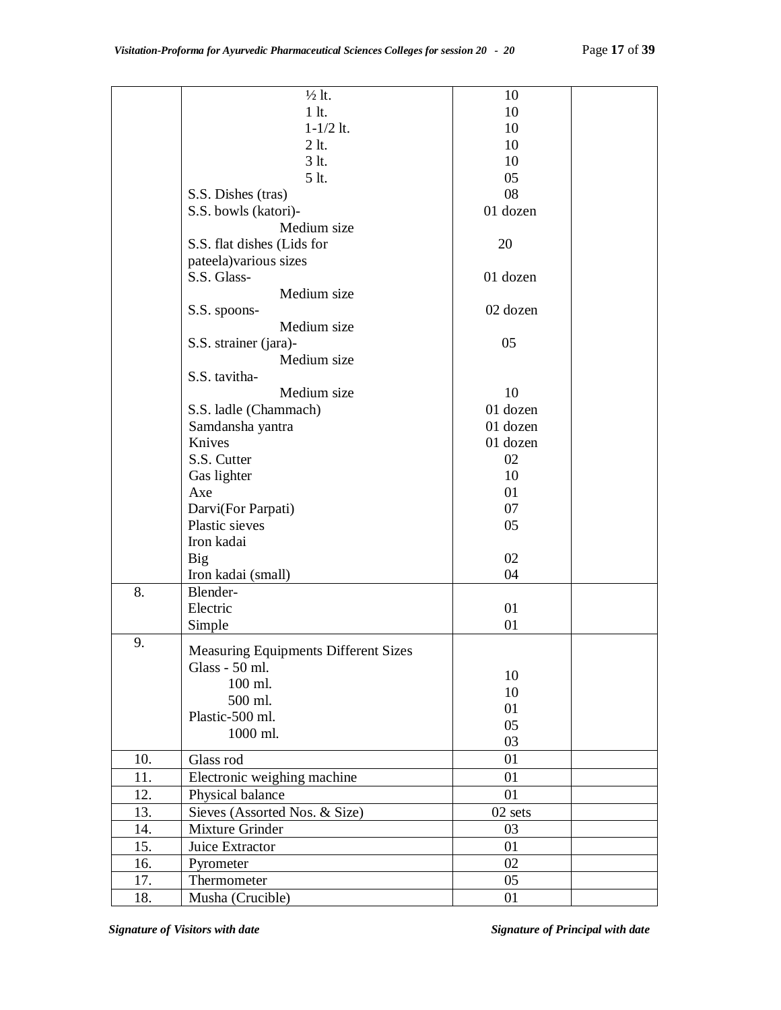|     | $\frac{1}{2}$ lt.                           | 10       |  |
|-----|---------------------------------------------|----------|--|
|     | $1$ lt.                                     | 10       |  |
|     | $1 - 1/2$ lt.                               | 10       |  |
|     | $2$ lt.                                     | 10       |  |
|     | 3 <sub>lt</sub>                             | 10       |  |
|     | 5 lt.                                       | 05       |  |
|     | S.S. Dishes (tras)                          | 08       |  |
|     | S.S. bowls (katori)-                        | 01 dozen |  |
|     | Medium size                                 |          |  |
|     | S.S. flat dishes (Lids for                  | 20       |  |
|     | pateela) various sizes                      |          |  |
|     | S.S. Glass-                                 | 01 dozen |  |
|     |                                             |          |  |
|     | Medium size                                 |          |  |
|     | S.S. spoons-                                | 02 dozen |  |
|     | Medium size                                 |          |  |
|     | S.S. strainer (jara)-                       | 05       |  |
|     | Medium size                                 |          |  |
|     | S.S. tavitha-                               |          |  |
|     | Medium size                                 | 10       |  |
|     | S.S. ladle (Chammach)                       | 01 dozen |  |
|     | Samdansha yantra                            | 01 dozen |  |
|     | Knives                                      | 01 dozen |  |
|     | S.S. Cutter                                 | 02       |  |
|     | Gas lighter                                 | 10       |  |
|     | Axe                                         | 01       |  |
|     | Darvi(For Parpati)                          | 07       |  |
|     | Plastic sieves                              | 05       |  |
|     | Iron kadai                                  |          |  |
|     | <b>Big</b>                                  | 02       |  |
|     | Iron kadai (small)                          | 04       |  |
| 8.  | Blender-                                    |          |  |
|     | Electric                                    | 01       |  |
|     | Simple                                      | 01       |  |
| 9.  |                                             |          |  |
|     | <b>Measuring Equipments Different Sizes</b> |          |  |
|     | Glass - 50 ml.                              | 10       |  |
|     | 100 ml.                                     | 10       |  |
|     | 500 ml.                                     | 01       |  |
|     | Plastic-500 ml.                             | 05       |  |
|     | 1000 ml.                                    | 03       |  |
| 10. | Glass rod                                   | 01       |  |
| 11. | Electronic weighing machine                 | 01       |  |
| 12. | Physical balance                            | 01       |  |
| 13. | Sieves (Assorted Nos. & Size)               | 02 sets  |  |
| 14. | Mixture Grinder                             | 03       |  |
| 15. | Juice Extractor                             | 01       |  |
| 16. | Pyrometer                                   | 02       |  |
| 17. | Thermometer                                 | 05       |  |
| 18. | Musha (Crucible)                            | 01       |  |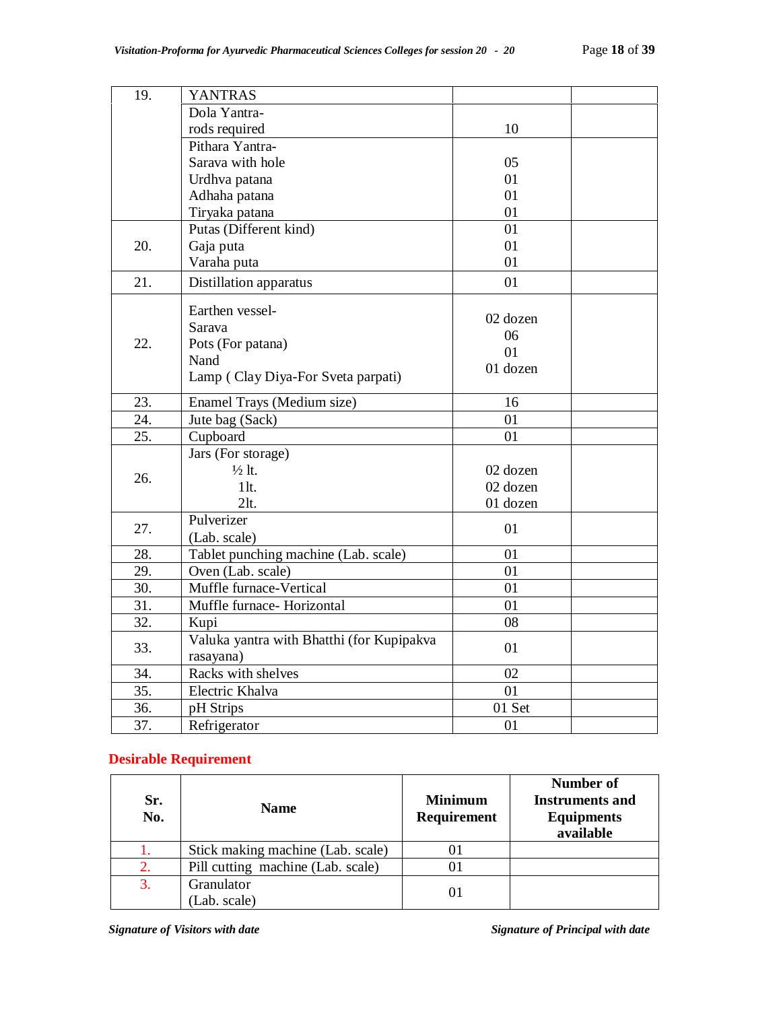| 19. | <b>YANTRAS</b>                            |          |  |
|-----|-------------------------------------------|----------|--|
|     | Dola Yantra-                              |          |  |
|     | rods required                             | 10       |  |
|     | Pithara Yantra-                           |          |  |
|     | Sarava with hole                          | 05       |  |
|     | Urdhva patana                             | 01       |  |
|     | Adhaha patana                             | 01       |  |
|     | Tiryaka patana                            | 01       |  |
|     | Putas (Different kind)                    | 01       |  |
| 20. | Gaja puta                                 | 01       |  |
|     | Varaha puta                               | 01       |  |
| 21. | Distillation apparatus                    | 01       |  |
|     | Earthen vessel-                           |          |  |
|     | Sarava                                    | 02 dozen |  |
| 22. | Pots (For patana)                         | 06       |  |
|     | Nand                                      | 01       |  |
|     | Lamp (Clay Diya-For Sveta parpati)        | 01 dozen |  |
|     |                                           |          |  |
| 23. | Enamel Trays (Medium size)                | 16       |  |
| 24. | Jute bag (Sack)                           | 01       |  |
| 25. | Cupboard                                  | 01       |  |
|     | Jars (For storage)                        |          |  |
| 26. | $\frac{1}{2}$ lt.                         | 02 dozen |  |
|     | $1$ lt.                                   | 02 dozen |  |
|     | 2lt.                                      | 01 dozen |  |
| 27. | Pulverizer                                | 01       |  |
|     | (Lab. scale)                              |          |  |
| 28. | Tablet punching machine (Lab. scale)      | 01       |  |
| 29. | Oven (Lab. scale)                         | 01       |  |
| 30. | Muffle furnace-Vertical                   | 01       |  |
| 31. | Muffle furnace- Horizontal                | 01       |  |
| 32. | Kupi                                      | 08       |  |
|     | Valuka yantra with Bhatthi (for Kupipakva | 01       |  |
| 33. | rasayana)                                 |          |  |
| 34. | Racks with shelves                        | 02       |  |
| 35. | Electric Khalva                           | 01       |  |
| 36. | pH Strips                                 | 01 Set   |  |
| 37. | Refrigerator                              | 01       |  |

# **Desirable Requirement**

| Sr.<br>No. | <b>Name</b>                       | <b>Minimum</b><br><b>Requirement</b> | Number of<br><b>Instruments and</b><br><b>Equipments</b><br>available |
|------------|-----------------------------------|--------------------------------------|-----------------------------------------------------------------------|
|            | Stick making machine (Lab. scale) |                                      |                                                                       |
| 2.         | Pill cutting machine (Lab. scale) |                                      |                                                                       |
| 3.         | Granulator                        |                                      |                                                                       |
|            | (Lab. scale)                      | O1                                   |                                                                       |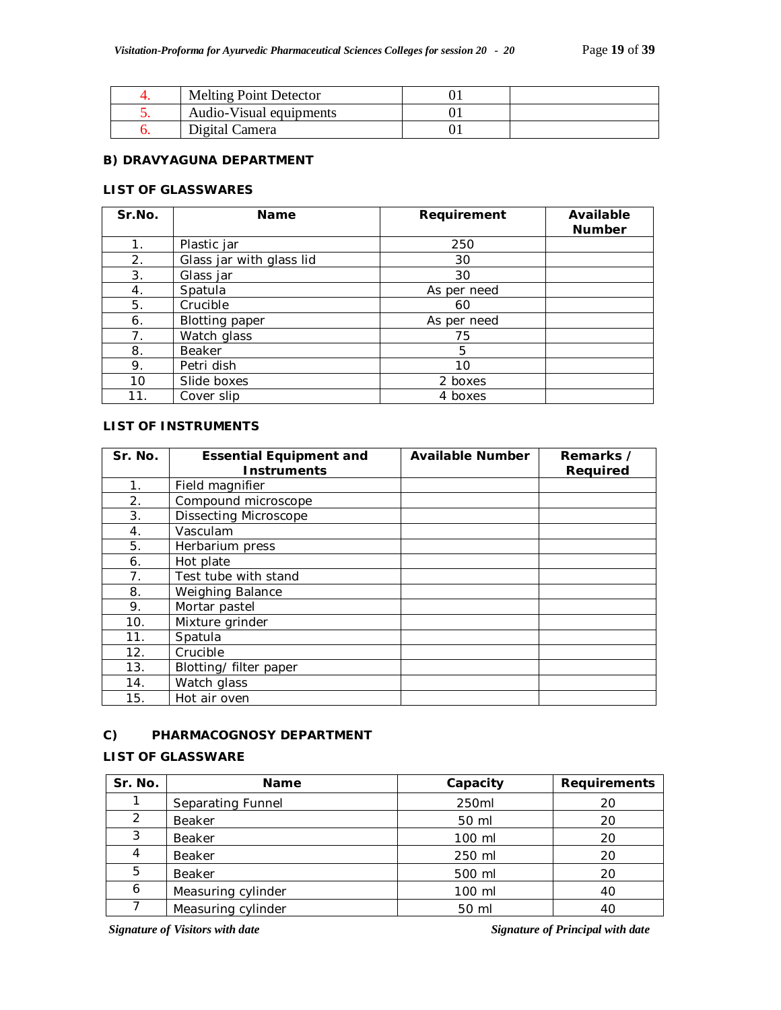| <b>Melting Point Detector</b> |  |
|-------------------------------|--|
| Audio-Visual equipments       |  |
| Digital Camera                |  |

### **B) DRAVYAGUNA DEPARTMENT**

# **LIST OF GLASSWARES**

| Sr.No.         | <b>Name</b>              | Requirement | Available<br><b>Number</b> |
|----------------|--------------------------|-------------|----------------------------|
| 1 <sub>1</sub> | Plastic jar              | 250         |                            |
| 2.             | Glass jar with glass lid | 30          |                            |
| 3.             | Glass jar                | 30          |                            |
| 4.             | Spatula                  | As per need |                            |
| 5.             | Crucible                 | 60          |                            |
| 6.             | <b>Blotting paper</b>    | As per need |                            |
| 7.             | Watch glass              | 75          |                            |
| 8.             | Beaker                   | 5           |                            |
| 9.             | Petri dish               | 10          |                            |
| 10             | Slide boxes              | 2 boxes     |                            |
| 11.            | Cover slip               | 4 boxes     |                            |

### **LIST OF INSTRUMENTS**

| Sr. No. | <b>Essential Equipment and</b> | <b>Available Number</b> | Remarks /       |
|---------|--------------------------------|-------------------------|-----------------|
|         | <b>Instruments</b>             |                         | <b>Required</b> |
| 1.      | Field magnifier                |                         |                 |
| 2.      | Compound microscope            |                         |                 |
| 3.      | <b>Dissecting Microscope</b>   |                         |                 |
| 4.      | Vasculam                       |                         |                 |
| 5.      | Herbarium press                |                         |                 |
| 6.      | Hot plate                      |                         |                 |
| 7.      | Test tube with stand           |                         |                 |
| 8.      | Weighing Balance               |                         |                 |
| 9.      | Mortar pastel                  |                         |                 |
| 10.     | Mixture grinder                |                         |                 |
| 11.     | Spatula                        |                         |                 |
| 12.     | Crucible                       |                         |                 |
| 13.     | Blotting/ filter paper         |                         |                 |
| 14.     | Watch glass                    |                         |                 |
| 15.     | Hot air oven                   |                         |                 |

#### **C) PHARMACOGNOSY DEPARTMENT**

### **LIST OF GLASSWARE**

| Sr. No. | <b>Name</b>        | Capacity | <b>Requirements</b> |
|---------|--------------------|----------|---------------------|
|         | Separating Funnel  | 250ml    | 20                  |
| 2       | Beaker             | 50 ml    | 20                  |
| 3       | Beaker             | 100 ml   | 20                  |
| 4       | Beaker             | 250 ml   | 20                  |
| 5       | Beaker             | 500 ml   | 20                  |
| 6       | Measuring cylinder | 100 ml   | 40                  |
|         | Measuring cylinder | 50 ml    | 40                  |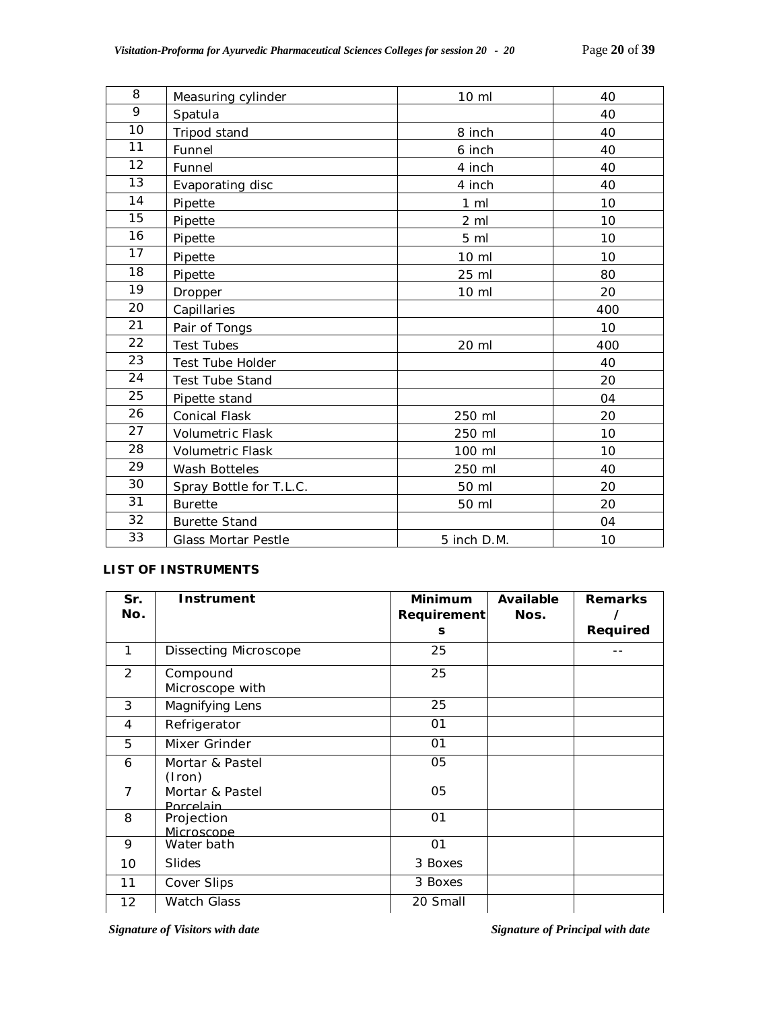| 8  | Measuring cylinder      | 10 ml           | 40  |
|----|-------------------------|-----------------|-----|
| 9  | Spatula                 |                 | 40  |
| 10 | Tripod stand            | 8 inch          | 40  |
| 11 | Funnel                  | 6 inch          | 40  |
| 12 | Funnel                  | 4 inch          | 40  |
| 13 | Evaporating disc        | 4 inch          | 40  |
| 14 | Pipette                 | $1 \,$ ml       | 10  |
| 15 | Pipette                 | $2 \,$ ml       | 10  |
| 16 | Pipette                 | 5 ml            | 10  |
| 17 | Pipette                 | 10 ml           | 10  |
| 18 | Pipette                 | 25 ml           | 80  |
| 19 | Dropper                 | $10 \mathrm{m}$ | 20  |
| 20 | Capillaries             |                 | 400 |
| 21 | Pair of Tongs           |                 | 10  |
| 22 | <b>Test Tubes</b>       | 20 ml           | 400 |
| 23 | Test Tube Holder        |                 | 40  |
| 24 | <b>Test Tube Stand</b>  |                 | 20  |
| 25 | Pipette stand           |                 | 04  |
| 26 | <b>Conical Flask</b>    | 250 ml          | 20  |
| 27 | <b>Volumetric Flask</b> | 250 ml          | 10  |
| 28 | <b>Volumetric Flask</b> | 100 ml          | 10  |
| 29 | Wash Botteles           | 250 ml          | 40  |
| 30 | Spray Bottle for T.L.C. | 50 ml           | 20  |
| 31 | <b>Burette</b>          | 50 ml           | 20  |
| 32 | <b>Burette Stand</b>    |                 | 04  |
| 33 | Glass Mortar Pestle     | 5 inch D.M.     | 10  |

# **LIST OF INSTRUMENTS**

| Sr.<br>No.     | Instrument                   | <b>Minimum</b><br>Requirement<br>s | Available<br>Nos. | <b>Remarks</b><br>Required |
|----------------|------------------------------|------------------------------------|-------------------|----------------------------|
| 1              | Dissecting Microscope        | 25                                 |                   |                            |
| $\mathcal{P}$  | Compound<br>Microscope with  | 25                                 |                   |                            |
| 3              | Magnifying Lens              | 25                                 |                   |                            |
| 4              | Refrigerator                 | 01                                 |                   |                            |
| 5              | Mixer Grinder                | 01                                 |                   |                            |
| 6              | Mortar & Pastel<br>(Iron)    | 05                                 |                   |                            |
| $\overline{7}$ | Mortar & Pastel<br>Porcelain | 05                                 |                   |                            |
| 8              | Projection<br>Microscope     | O <sub>1</sub>                     |                   |                            |
| 9              | Water bath                   | 01                                 |                   |                            |
| 10             | <b>Slides</b>                | 3 Boxes                            |                   |                            |
| 11             | Cover Slips                  | 3 Boxes                            |                   |                            |
| 12             | <b>Watch Glass</b>           | 20 Small                           |                   |                            |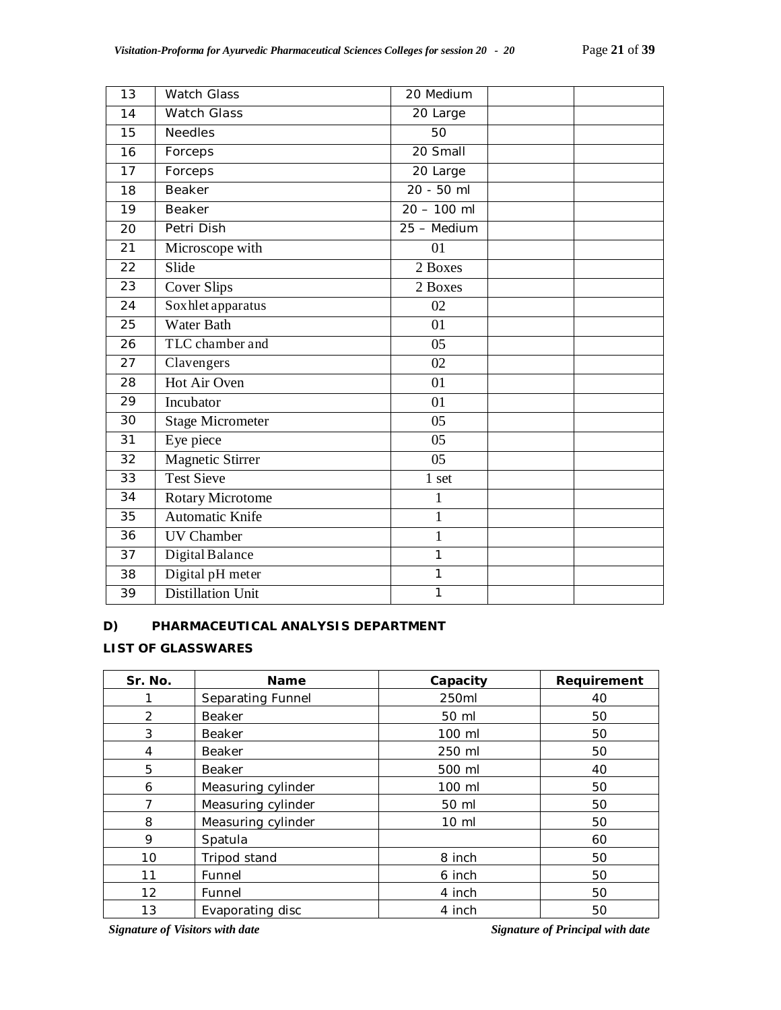| 13 | <b>Watch Glass</b>      | 20 Medium     |
|----|-------------------------|---------------|
| 14 | <b>Watch Glass</b>      | 20 Large      |
| 15 | <b>Needles</b>          | 50            |
| 16 | Forceps                 | 20 Small      |
| 17 | Forceps                 | 20 Large      |
| 18 | Beaker                  | 20 - 50 ml    |
| 19 | Beaker                  | $20 - 100$ ml |
| 20 | Petri Dish              | 25 - Medium   |
| 21 | Microscope with         | 01            |
| 22 | Slide                   | 2 Boxes       |
| 23 | <b>Cover Slips</b>      | 2 Boxes       |
| 24 | Soxhlet apparatus       | 02            |
| 25 | <b>Water Bath</b>       | 01            |
| 26 | TLC chamber and         | 05            |
| 27 | Clavengers              | 02            |
| 28 | Hot Air Oven            | 01            |
| 29 | Incubator               | 01            |
| 30 | <b>Stage Micrometer</b> | 05            |
| 31 | Eye piece               | 05            |
| 32 | <b>Magnetic Stirrer</b> | 05            |
| 33 | <b>Test Sieve</b>       | 1 set         |
| 34 | Rotary Microtome        | $\mathbf{1}$  |
| 35 | <b>Automatic Knife</b>  | $\mathbf{1}$  |
| 36 | <b>UV</b> Chamber       | $\mathbf{1}$  |
| 37 | Digital Balance         | 1             |
| 38 | Digital pH meter        | $\mathbf{1}$  |
| 39 | Distillation Unit       | 1             |

#### **D) PHARMACEUTICAL ANALYSIS DEPARTMENT**

# **LIST OF GLASSWARES**

| Sr. No. | <b>Name</b>        | Capacity        | Requirement |
|---------|--------------------|-----------------|-------------|
|         | Separating Funnel  | 250ml           | 40          |
| 2       | <b>Beaker</b>      | 50 ml           | 50          |
| 3       | <b>Beaker</b>      | 100 ml          | 50          |
| 4       | <b>Beaker</b>      | 250 ml          | 50          |
| 5       | <b>Beaker</b>      | 500 ml          | 40          |
| 6       | Measuring cylinder | 100 ml          | 50          |
| 7       | Measuring cylinder | 50 ml           | 50          |
| 8       | Measuring cylinder | $10 \mathrm{m}$ | 50          |
| 9       | Spatula            |                 | 60          |
| 10      | Tripod stand       | 8 inch          | 50          |
| 11      | Funnel             | 6 inch          | 50          |
| 12      | Funnel             | 4 inch          | 50          |
| 13      | Evaporating disc   | 4 inch          | 50          |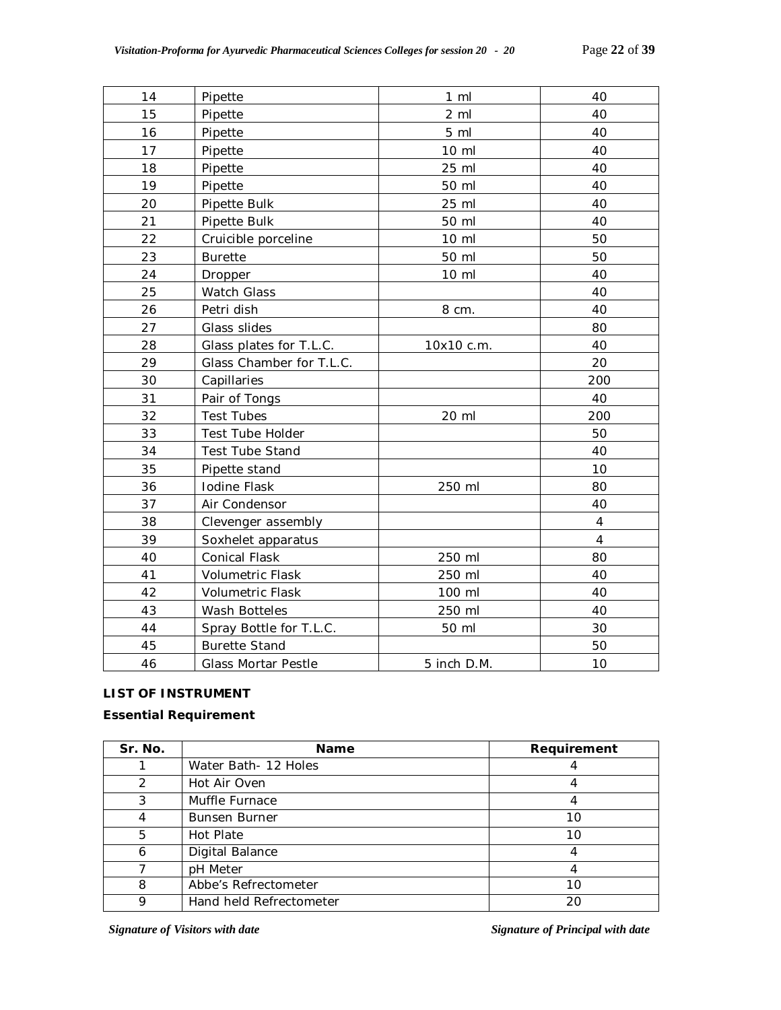| 14 | Pipette                    | $1 \,$ ml       | 40             |
|----|----------------------------|-----------------|----------------|
| 15 | Pipette                    | 2 <sub>m</sub>  | 40             |
| 16 | Pipette                    | 5 <sub>m</sub>  | 40             |
| 17 | Pipette                    | $10 \mathrm{m}$ | 40             |
| 18 | Pipette                    | 25 ml           | 40             |
| 19 | Pipette                    | 50 ml           | 40             |
| 20 | Pipette Bulk               | 25 ml           | 40             |
| 21 | Pipette Bulk               | 50 ml           | 40             |
| 22 | Cruicible porceline        | $10 \mathrm{m}$ | 50             |
| 23 | <b>Burette</b>             | 50 ml           | 50             |
| 24 | Dropper                    | 10 ml           | 40             |
| 25 | <b>Watch Glass</b>         |                 | 40             |
| 26 | Petri dish                 | 8 cm.           | 40             |
| 27 | Glass slides               |                 | 80             |
| 28 | Glass plates for T.L.C.    | 10x10 c.m.      | 40             |
| 29 | Glass Chamber for T.L.C.   |                 | 20             |
| 30 | Capillaries                |                 | 200            |
| 31 | Pair of Tongs              |                 | 40             |
| 32 | <b>Test Tubes</b>          | 20 ml           | 200            |
| 33 | Test Tube Holder           |                 | 50             |
| 34 | Test Tube Stand            |                 | 40             |
| 35 | Pipette stand              |                 | 10             |
| 36 | Iodine Flask               | 250 ml          | 80             |
| 37 | Air Condensor              |                 | 40             |
| 38 | Clevenger assembly         |                 | $\overline{4}$ |
| 39 | Soxhelet apparatus         |                 | $\overline{4}$ |
| 40 | Conical Flask              | 250 ml          | 80             |
| 41 | <b>Volumetric Flask</b>    | 250 ml          | 40             |
| 42 | <b>Volumetric Flask</b>    | 100 ml          | 40             |
| 43 | Wash Botteles              | 250 ml          | 40             |
| 44 | Spray Bottle for T.L.C.    | 50 ml           | 30             |
| 45 | <b>Burette Stand</b>       |                 | 50             |
| 46 | <b>Glass Mortar Pestle</b> | 5 inch D.M.     | 10             |

### **LIST OF INSTRUMENT**

# **Essential Requirement**

| Sr. No. | <b>Name</b>             | Requirement |
|---------|-------------------------|-------------|
|         | Water Bath- 12 Holes    |             |
| っ       | Hot Air Oven            |             |
| 3       | Muffle Furnace          |             |
|         | <b>Bunsen Burner</b>    | 10          |
| 5       | Hot Plate               | 10          |
| 6       | Digital Balance         |             |
|         | pH Meter                |             |
| 8       | Abbe's Refrectometer    | 10          |
|         | Hand held Refrectometer | 20          |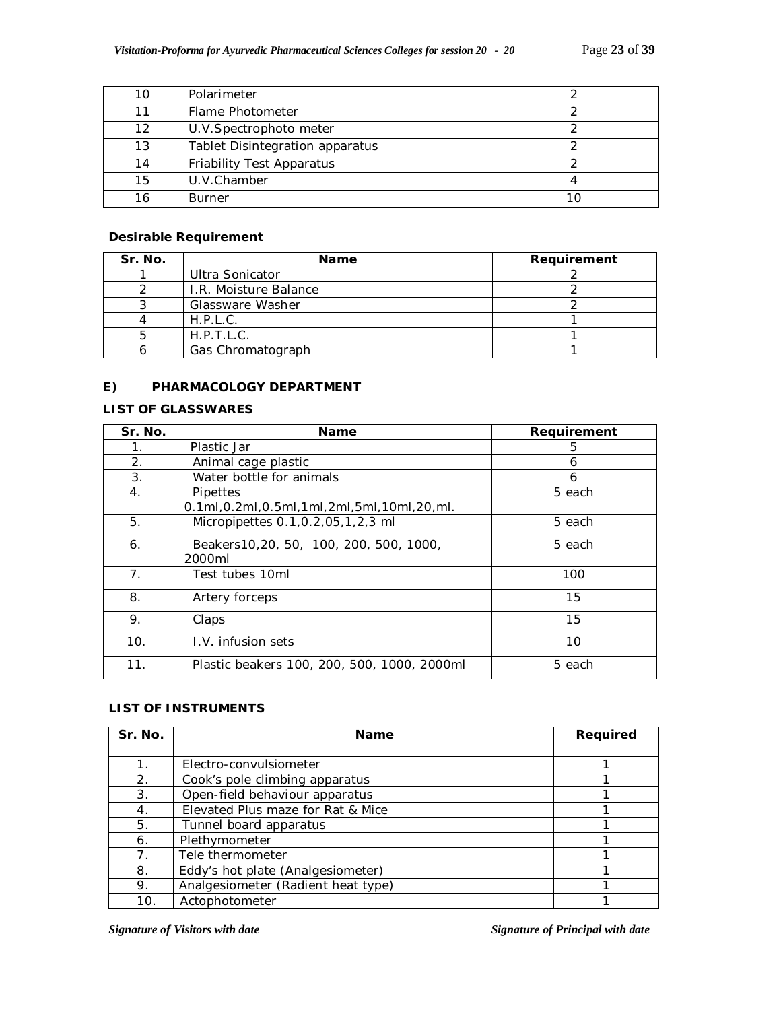|    | Polarimeter                     |  |
|----|---------------------------------|--|
| 11 | Flame Photometer                |  |
| 12 | U.V. Spectrophoto meter         |  |
| 13 | Tablet Disintegration apparatus |  |
| 14 | Friability Test Apparatus       |  |
| 15 | U.V.Chamber                     |  |
|    | <b>Burner</b>                   |  |

#### **Desirable Requirement**

| Sr. No. | <b>Name</b>           | Requirement |
|---------|-----------------------|-------------|
|         | Ultra Sonicator       |             |
|         | I.R. Moisture Balance |             |
|         | Glassware Washer      |             |
|         | H.P.L.C.              |             |
|         | H.P.T.L.C.            |             |
|         | Gas Chromatograph     |             |

## **E) PHARMACOLOGY DEPARTMENT**

# **LIST OF GLASSWARES**

| Sr. No.        | Name                                                  | Requirement |
|----------------|-------------------------------------------------------|-------------|
| 1.             | Plastic Jar                                           | 5           |
| 2.             | Animal cage plastic                                   | 6           |
| 3.             | Water bottle for animals                              | 6           |
| 4.             | Pipettes                                              | 5 each      |
|                | $[0.1$ ml, 0.2ml, 0.5ml, 1ml, 2ml, 5ml, 10ml, 20, ml. |             |
| 5.             | Micropipettes 0.1, 0.2, 05, 1, 2, 3 ml                | 5 each      |
| 6.             | Beakers 10, 20, 50, 100, 200, 500, 1000,              | 5 each      |
|                | 2000ml                                                |             |
| 7 <sub>1</sub> | Test tubes 10ml                                       | 100         |
| 8.             | Artery forceps                                        | 15          |
| 9.             | Claps                                                 | 15          |
| 10.            | L.V. infusion sets                                    | 10          |
| 11.            | Plastic beakers 100, 200, 500, 1000, 2000ml           | 5 each      |

# **LIST OF INSTRUMENTS**

| Sr. No.        | <b>Name</b>                        | Required |
|----------------|------------------------------------|----------|
|                |                                    |          |
|                | Electro-convulsiometer             |          |
| 2.             | Cook's pole climbing apparatus     |          |
| 3.             | Open-field behaviour apparatus     |          |
| 4.             | Elevated Plus maze for Rat & Mice  |          |
| 5.             | Tunnel board apparatus             |          |
| 6.             | Plethymometer                      |          |
| 7 <sub>1</sub> | Tele thermometer                   |          |
| 8.             | Eddy's hot plate (Analgesiometer)  |          |
| 9.             | Analgesiometer (Radient heat type) |          |
| 10.            | Actophotometer                     |          |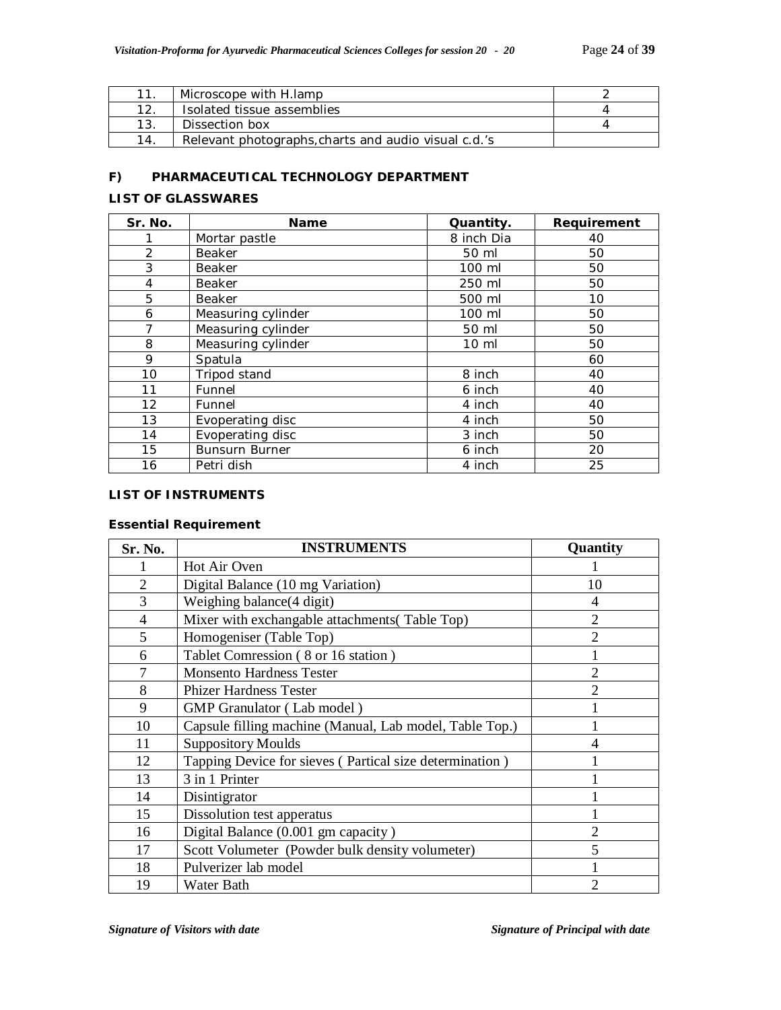|     | Microscope with H.lamp                               |  |
|-----|------------------------------------------------------|--|
| 12. | Isolated tissue assemblies                           |  |
| 13. | Dissection box                                       |  |
| 14. | Relevant photographs, charts and audio visual c.d.'s |  |

# **F) PHARMACEUTICAL TECHNOLOGY DEPARTMENT**

# **LIST OF GLASSWARES**

| Sr. No. | <b>Name</b>           | Quantity.  | Requirement |
|---------|-----------------------|------------|-------------|
|         | Mortar pastle         | 8 inch Dia | 40          |
| 2       | Beaker                | 50 ml      | 50          |
| 3       | Beaker                | 100 ml     | 50          |
| 4       | <b>Beaker</b>         | 250 ml     | 50          |
| 5       | Beaker                | 500 ml     | 10          |
| 6       | Measuring cylinder    | 100 ml     | 50          |
| 7       | Measuring cylinder    | 50 ml      | 50          |
| 8       | Measuring cylinder    | 10 ml      | 50          |
| 9       | Spatula               |            | 60          |
| 10      | Tripod stand          | 8 inch     | 40          |
| 11      | Funnel                | 6 inch     | 40          |
| 12      | Funnel                | 4 inch     | 40          |
| 13      | Evoperating disc      | 4 inch     | 50          |
| 14      | Evoperating disc      | 3 inch     | 50          |
| 15      | <b>Bunsurn Burner</b> | 6 inch     | 20          |
| 16      | Petri dish            | 4 inch     | 25          |

#### **LIST OF INSTRUMENTS**

### **Essential Requirement**

| Sr. No.        | <b>INSTRUMENTS</b>                                      | Quantity       |
|----------------|---------------------------------------------------------|----------------|
|                | Hot Air Oven                                            |                |
| $\overline{2}$ | Digital Balance (10 mg Variation)                       | 10             |
| 3              | Weighing balance (4 digit)                              | 4              |
| $\overline{4}$ | Mixer with exchangable attachments (Table Top)          | $\overline{2}$ |
| 5              | Homogeniser (Table Top)                                 | $\overline{2}$ |
| 6              | Tablet Comression (8 or 16 station)                     |                |
| 7              | <b>Monsento Hardness Tester</b>                         | $\overline{2}$ |
| 8              | <b>Phizer Hardness Tester</b>                           | $\overline{2}$ |
| 9              | <b>GMP</b> Granulator (Lab model)                       |                |
| 10             | Capsule filling machine (Manual, Lab model, Table Top.) |                |
| 11             | <b>Suppository Moulds</b>                               | 4              |
| 12             | Tapping Device for sieves (Partical size determination) |                |
| 13             | 3 in 1 Printer                                          |                |
| 14             | Disintigrator                                           |                |
| 15             | Dissolution test apperatus                              |                |
| 16             | Digital Balance (0.001 gm capacity)                     | $\overline{2}$ |
| 17             | Scott Volumeter (Powder bulk density volumeter)         | 5              |
| 18             | Pulverizer lab model                                    |                |
| 19             | Water Bath                                              | 2              |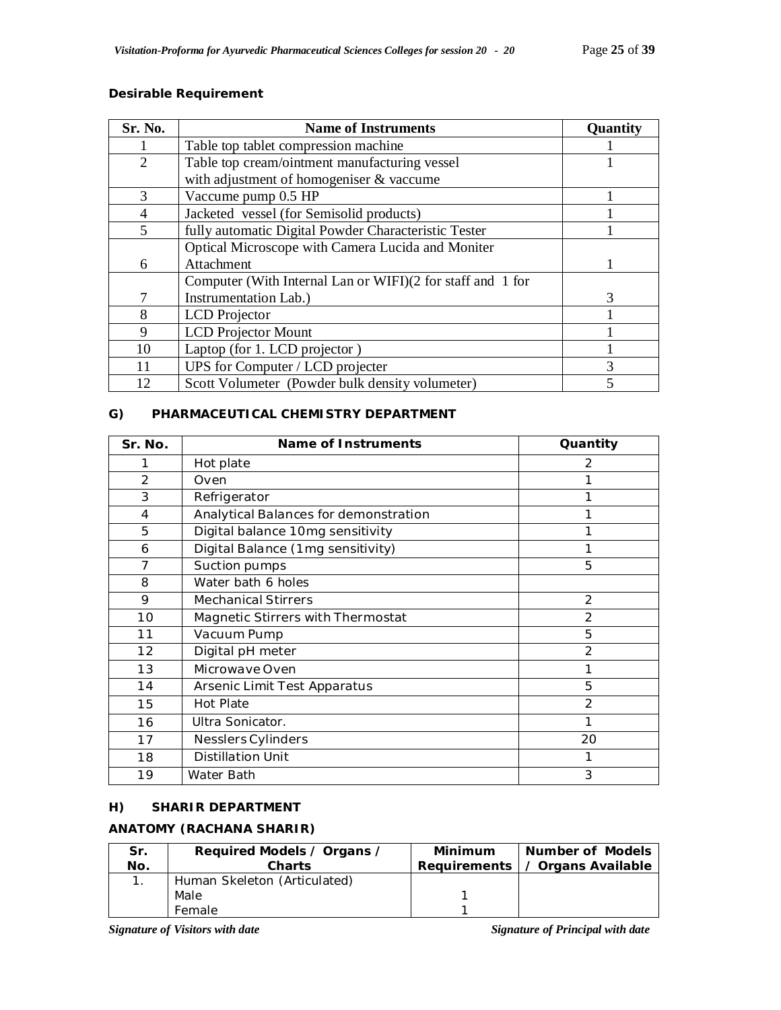| Sr. No.               | <b>Name of Instruments</b>                                 | <b>Quantity</b> |
|-----------------------|------------------------------------------------------------|-----------------|
|                       | Table top tablet compression machine                       |                 |
| $\mathcal{D}_{\cdot}$ | Table top cream/ointment manufacturing vessel              |                 |
|                       | with adjustment of homogeniser & vaccume                   |                 |
| $\mathcal{R}$         | Vaccume pump 0.5 HP                                        |                 |
|                       | Jacketed vessel (for Semisolid products)                   |                 |
| 5                     | fully automatic Digital Powder Characteristic Tester       |                 |
|                       | Optical Microscope with Camera Lucida and Moniter          |                 |
| 6                     | Attachment                                                 |                 |
|                       | Computer (With Internal Lan or WIFI)(2 for staff and 1 for |                 |
|                       | Instrumentation Lab.)                                      | 3               |
| 8                     | <b>LCD</b> Projector                                       |                 |
| 9                     | <b>LCD</b> Projector Mount                                 |                 |
| 10                    | Laptop (for 1. LCD projector)                              |                 |
|                       | UPS for Computer / LCD projecter                           |                 |
| 12                    | Scott Volumeter (Powder bulk density volumeter)            |                 |

#### **Desirable Requirement**

# **G) PHARMACEUTICAL CHEMISTRY DEPARTMENT**

| Sr. No.        | Name of Instruments                   | Quantity       |
|----------------|---------------------------------------|----------------|
| 1              | Hot plate                             | 2              |
| $\mathfrak{D}$ | Oven                                  |                |
| 3              | Refrigerator                          |                |
| 4              | Analytical Balances for demonstration |                |
| 5              | Digital balance 10mg sensitivity      |                |
| 6              | Digital Balance (1mg sensitivity)     |                |
| $\overline{7}$ | Suction pumps                         | 5              |
| 8              | Water bath 6 holes                    |                |
| 9              | <b>Mechanical Stirrers</b>            | 2              |
| 10             | Magnetic Stirrers with Thermostat     | $\overline{2}$ |
| 11             | Vacuum Pump                           | 5              |
| 12             | Digital pH meter                      | $\mathcal{P}$  |
| 13             | Microwave Oven                        | 1              |
| 14             | Arsenic Limit Test Apparatus          | 5              |
| 15             | <b>Hot Plate</b>                      | $\overline{2}$ |
| 16             | Ultra Sonicator.                      |                |
| 17             | Nesslers Cylinders                    | 20             |
| 18             | <b>Distillation Unit</b>              | 1              |
| 19             | Water Bath                            | 3              |

# **H) SHARIR DEPARTMENT**

# **ANATOMY (RACHANA SHARIR)**

| Sr.<br>No. | Required Models / Organs /<br><b>Charts</b> | Minimum | <b>Number of Models</b><br>Requirements   / Organs Available |
|------------|---------------------------------------------|---------|--------------------------------------------------------------|
|            | Human Skeleton (Articulated)                |         |                                                              |
|            | Male                                        |         |                                                              |
|            | Female                                      |         |                                                              |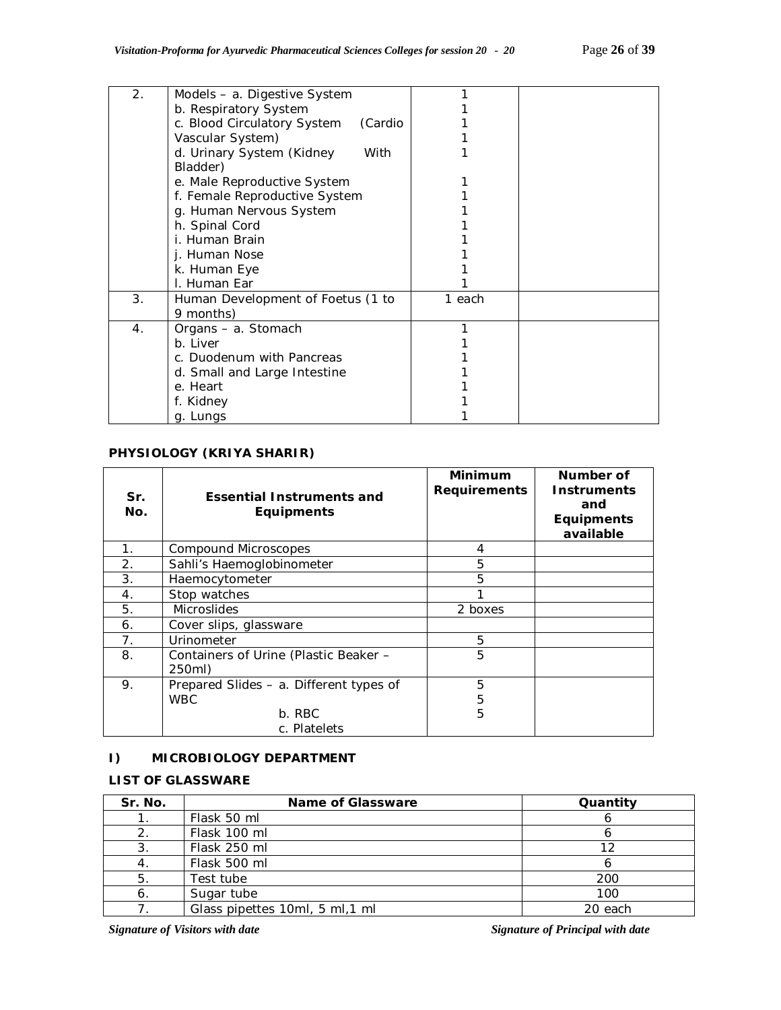| 2. | Models - a. Digestive System           |        |  |
|----|----------------------------------------|--------|--|
|    | b. Respiratory System                  |        |  |
|    | c. Blood Circulatory System<br>(Cardio |        |  |
|    | Vascular System)                       |        |  |
|    | d. Urinary System (Kidney<br>With      |        |  |
|    | Bladder)                               |        |  |
|    | e. Male Reproductive System            |        |  |
|    | f. Female Reproductive System          |        |  |
|    | g. Human Nervous System                |        |  |
|    | h. Spinal Cord                         |        |  |
|    | i. Human Brain                         |        |  |
|    | j. Human Nose                          |        |  |
|    | k. Human Eye                           |        |  |
|    | I. Human Ear                           |        |  |
| 3. | Human Development of Foetus (1 to      | 1 each |  |
|    | 9 months)                              |        |  |
| 4. | Organs – a. Stomach                    |        |  |
|    | b. Liver                               |        |  |
|    | c. Duodenum with Pancreas              |        |  |
|    | d. Small and Large Intestine           |        |  |
|    | e. Heart                               |        |  |
|    | f. Kidney                              |        |  |
|    | g. Lungs                               |        |  |

# **PHYSIOLOGY (KRIYA SHARIR)**

| Sr.<br>No.     | <b>Essential Instruments and</b><br><b>Equipments</b> | <b>Minimum</b><br><b>Requirements</b> | Number of<br><b>Instruments</b><br>and<br><b>Equipments</b><br>available |
|----------------|-------------------------------------------------------|---------------------------------------|--------------------------------------------------------------------------|
| 1 <sub>1</sub> | Compound Microscopes                                  | 4                                     |                                                                          |
| 2.             | Sahli's Haemoglobinometer                             | 5                                     |                                                                          |
| 3.             | Haemocytometer                                        | 5                                     |                                                                          |
| 4.             | Stop watches                                          |                                       |                                                                          |
| 5.             | <b>Microslides</b>                                    | 2 boxes                               |                                                                          |
| 6.             | Cover slips, glassware                                |                                       |                                                                          |
| 7.             | Urinometer                                            | 5                                     |                                                                          |
| 8.             | Containers of Urine (Plastic Beaker -<br>250ml)       | 5                                     |                                                                          |
| 9.             | Prepared Slides – a. Different types of               | 5                                     |                                                                          |
|                | <b>WBC</b>                                            | 5                                     |                                                                          |
|                | b. RBC                                                | 5                                     |                                                                          |
|                | c. Platelets                                          |                                       |                                                                          |

# **I) MICROBIOLOGY DEPARTMENT**

# **LIST OF GLASSWARE**

| Sr. No. | Name of Glassware               | Quantity |
|---------|---------------------------------|----------|
|         | Flask 50 ml                     |          |
|         | Flask 100 ml                    |          |
| 3.      | Flask 250 ml                    | 1つ       |
|         | Flask 500 ml                    |          |
| 5.      | Test tube                       | 200      |
| 6.      | Sugar tube                      | 100      |
|         | Glass pipettes 10ml, 5 ml, 1 ml | 20 each  |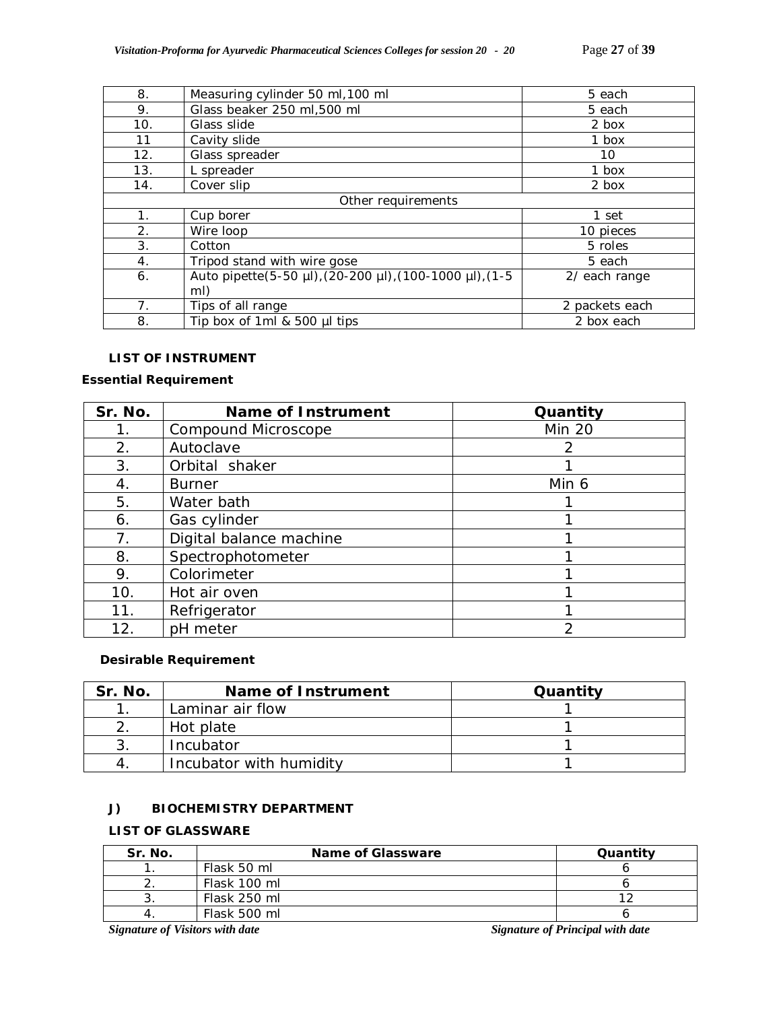| 8.                 | Measuring cylinder 50 ml, 100 ml                               | 5 each         |
|--------------------|----------------------------------------------------------------|----------------|
| 9.                 | Glass beaker 250 ml,500 ml                                     | 5 each         |
| 10.                | Glass slide                                                    | 2 box          |
| 11                 | Cavity slide                                                   | 1 box          |
| 12.                | Glass spreader                                                 | 10             |
| 13.                | L spreader                                                     | 1 box          |
| 14.                | Cover slip                                                     | 2 box          |
| Other requirements |                                                                |                |
| 1 <sub>1</sub>     | Cup borer                                                      | 1 set          |
| 2.                 | Wire loop                                                      | 10 pieces      |
| 3.                 | Cotton                                                         | 5 roles        |
| 4.                 | Tripod stand with wire gose                                    | 5 each         |
| 6.                 | Auto pipette(5-50 µl), (20-200 µl), (100-1000 µl), (1-5<br>mI) | 2/ each range  |
| 7 <sub>1</sub>     | Tips of all range                                              | 2 packets each |
| 8.                 | Tip box of 1ml $&$ 500 $\mu$ l tips                            | 2 box each     |

### **LIST OF INSTRUMENT**

# **Essential Requirement**

| Sr. No.     | <b>Name of Instrument</b> | Quantity      |
|-------------|---------------------------|---------------|
| 1.          | Compound Microscope       | <b>Min 20</b> |
| 2.          | Autoclave                 | 2             |
| 3.          | Orbital shaker            |               |
| 4.          | <b>Burner</b>             | Min 6         |
| 5.          | Water bath                |               |
| 6.          | Gas cylinder              |               |
| $7_{\cdot}$ | Digital balance machine   |               |
| 8.          | Spectrophotometer         |               |
| 9.          | Colorimeter               |               |
| 10.         | Hot air oven              |               |
| 11.         | Refrigerator              |               |
| 12.         | pH meter                  | 2             |

# **Desirable Requirement**

| Sr. No. | <b>Name of Instrument</b> | Quantity |
|---------|---------------------------|----------|
|         | Laminar air flow          |          |
|         | Hot plate                 |          |
|         | Incubator                 |          |
|         | Incubator with humidity   |          |

# **J) BIOCHEMISTRY DEPARTMENT**

# **LIST OF GLASSWARE**

| Sr. No. | Name of Glassware | Quantity |
|---------|-------------------|----------|
|         | Flask 50 ml       |          |
|         | Flask 100 ml      |          |
|         | Flask 250 ml      |          |
|         | Flask 500 ml      |          |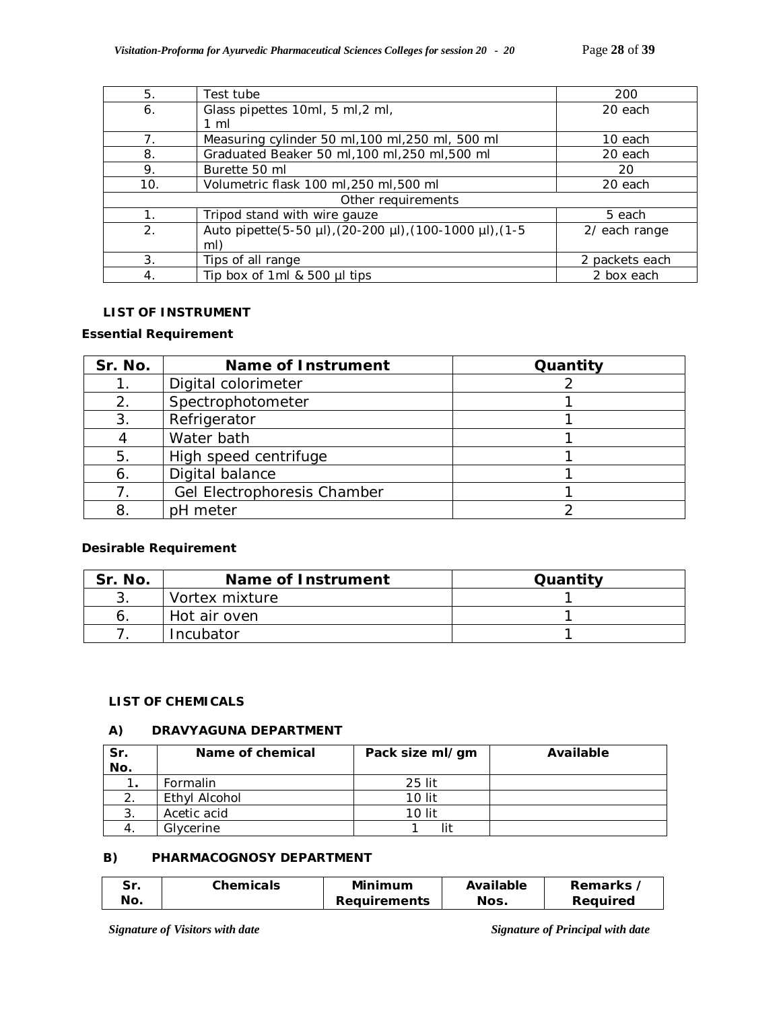| 5.             | Test tube                                               | 200            |
|----------------|---------------------------------------------------------|----------------|
| 6.             | Glass pipettes 10ml, 5 ml, 2 ml,                        | 20 each        |
|                | $1 \text{ ml}$                                          |                |
| 7 <sub>1</sub> | Measuring cylinder 50 ml, 100 ml, 250 ml, 500 ml        | 10 each        |
| 8.             | Graduated Beaker 50 ml, 100 ml, 250 ml, 500 ml          | 20 each        |
| 9.             | Burette 50 ml                                           | 20             |
| 10.            | Volumetric flask 100 ml, 250 ml, 500 ml                 | 20 each        |
|                | Other requirements                                      |                |
|                | Tripod stand with wire gauze                            | 5 each         |
| 2.             | Auto pipette(5-50 µl), (20-200 µl), (100-1000 µl), (1-5 | 2/ each range  |
|                | mI)                                                     |                |
| 3.             | Tips of all range                                       | 2 packets each |
| 4.             | Tip box of 1ml & 500 µl tips                            | 2 box each     |

# **LIST OF INSTRUMENT**

### **Essential Requirement**

| Sr. No. | <b>Name of Instrument</b>   | Quantity |
|---------|-----------------------------|----------|
|         | Digital colorimeter         |          |
| 2.      | Spectrophotometer           |          |
| 3.      | Refrigerator                |          |
|         | Water bath                  |          |
| 5.      | High speed centrifuge       |          |
| 6.      | Digital balance             |          |
|         | Gel Electrophoresis Chamber |          |
| 8       | pH meter                    |          |

# **Desirable Requirement**

| Sr. No. | Name of Instrument | Quantity |
|---------|--------------------|----------|
|         | Vortex mixture     |          |
|         | Hot air oven       |          |
|         | Incubator          |          |

### **LIST OF CHEMICALS**

# **A) DRAVYAGUNA DEPARTMENT**

| Sr. | Name of chemical | Pack size ml/gm | Available |
|-----|------------------|-----------------|-----------|
| No. |                  |                 |           |
| . . | Formalin         | $25$ lit        |           |
|     | Ethyl Alcohol    | 10 lit          |           |
| 3.  | Acetic acid      | 10 lit          |           |
|     | Glycerine        |                 |           |

# **B) PHARMACOGNOSY DEPARTMENT**

| -Sr. | Chemicals | Minimum             | Available | <b>Remarks</b> |
|------|-----------|---------------------|-----------|----------------|
| No.  |           | <b>Requirements</b> | Nos.      | Reauired       |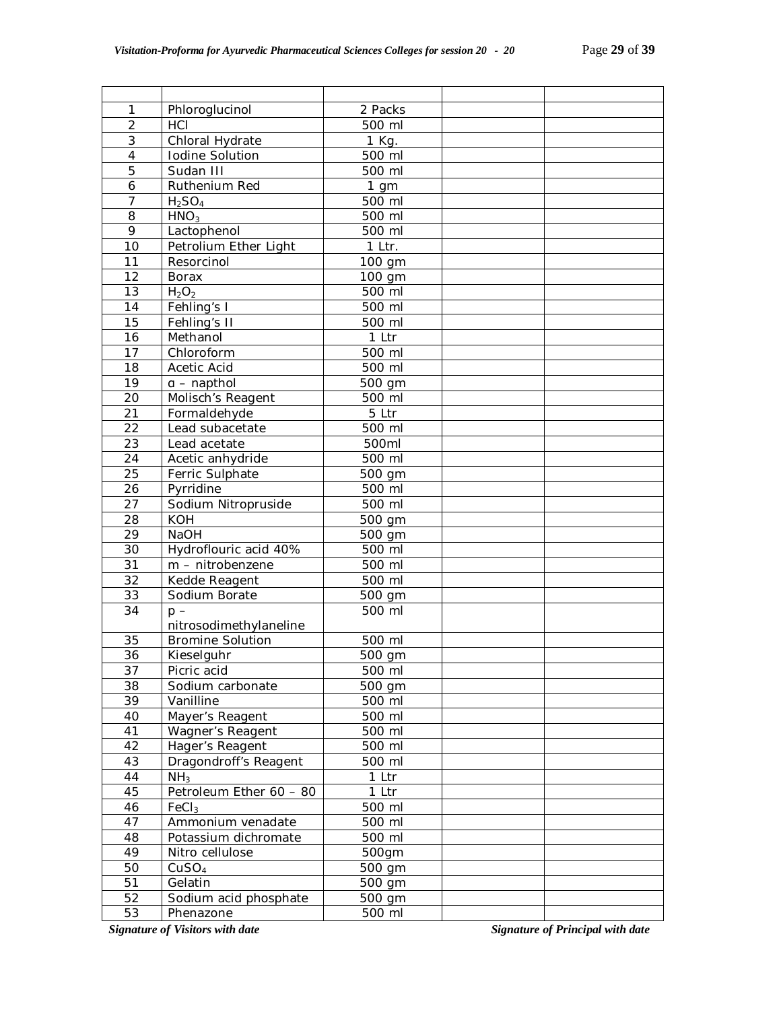| 1               | Phloroglucinol                         | 2 Packs |                                         |
|-----------------|----------------------------------------|---------|-----------------------------------------|
| $\overline{2}$  | HCI                                    | 500 ml  |                                         |
| 3               | Chloral Hydrate                        | 1 Kg.   |                                         |
| 4               | Iodine Solution                        | 500 ml  |                                         |
| 5               | Sudan III                              | 500 ml  |                                         |
| 6               | Ruthenium Red                          | $1$ gm  |                                         |
| $\overline{7}$  | $H_2SO_4$                              | 500 ml  |                                         |
| 8               | HNO <sub>3</sub>                       | 500 ml  |                                         |
| 9               | Lactophenol                            | 500 ml  |                                         |
| 10              | Petrolium Ether Light                  | 1 Ltr.  |                                         |
| 11              | Resorcinol                             | 100 gm  |                                         |
| 12              | <b>Borax</b>                           | 100 gm  |                                         |
| 13              | H <sub>2</sub> O <sub>2</sub>          | 500 ml  |                                         |
| 14              | Fehling's I                            | 500 ml  |                                         |
| 15              | Fehling's II                           | 500 ml  |                                         |
| 16              | Methanol                               | 1 Ltr   |                                         |
| 17              | Chloroform                             | 500 ml  |                                         |
| 18              | Acetic Acid                            | 500 ml  |                                         |
| 19              | $a$ – napthol                          | 500 gm  |                                         |
| 20              | Molisch's Reagent                      | 500 ml  |                                         |
| 21              | Formaldehyde                           | 5 Ltr   |                                         |
| 22              | Lead subacetate                        | 500 ml  |                                         |
| 23              | Lead acetate                           | 500ml   |                                         |
| 24              | Acetic anhydride                       | 500 ml  |                                         |
| 25              | Ferric Sulphate                        | 500 gm  |                                         |
| 26              | Pyrridine                              | 500 ml  |                                         |
| 27              | Sodium Nitropruside                    | 500 ml  |                                         |
| 28              | <b>KOH</b>                             | 500 gm  |                                         |
| 29              | <b>NaOH</b>                            | 500 gm  |                                         |
| 30              | Hydroflouric acid 40%                  | 500 ml  |                                         |
| 31              | $m - nitrobenzene$                     | 500 ml  |                                         |
| 32              | Kedde Reagent                          | 500 ml  |                                         |
| 33              | Sodium Borate                          | 500 gm  |                                         |
| 34              | $p -$                                  | 500 ml  |                                         |
|                 | nitrosodimethylaneline                 |         |                                         |
| 35              | <b>Bromine Solution</b>                | 500 ml  |                                         |
| $\overline{36}$ | Kieselguhr                             | 500 gm  |                                         |
| 37              | Picric acid                            | 500 ml  |                                         |
| 38              | Sodium carbonate                       | 500 gm  |                                         |
| 39              | Vanilline                              | 500 ml  |                                         |
| 40              | Mayer's Reagent                        | 500 ml  |                                         |
| 41              | Wagner's Reagent                       | 500 ml  |                                         |
| 42              | Hager's Reagent                        | 500 ml  |                                         |
| 43              | Dragondroff's Reagent                  | 500 ml  |                                         |
| 44              | NH <sub>3</sub>                        | 1 Ltr   |                                         |
| 45              | Petroleum Ether 60 - 80                | 1 Ltr   |                                         |
| 46              | FeCl <sub>3</sub>                      | 500 ml  |                                         |
| 47              | Ammonium venadate                      | 500 ml  |                                         |
| 48              | Potassium dichromate                   | 500 ml  |                                         |
| 49              | Nitro cellulose                        | 500gm   |                                         |
| 50              | CuSO <sub>4</sub>                      | 500 gm  |                                         |
| 51              | Gelatin                                | 500 gm  |                                         |
| 52              | Sodium acid phosphate                  | 500 gm  |                                         |
| 53              | Phenazone                              | 500 ml  |                                         |
|                 | <b>Signature of Visitors with date</b> |         | <b>Signature of Principal with date</b> |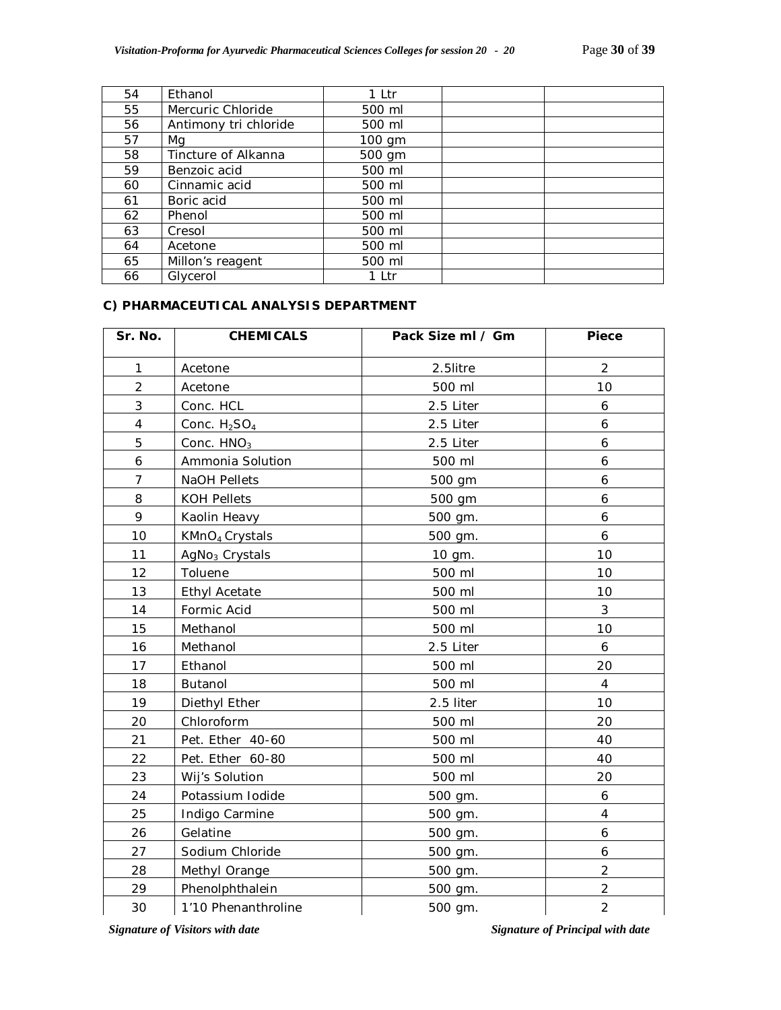| 54 | Ethanol               | 1 Ltr    |  |
|----|-----------------------|----------|--|
| 55 | Mercuric Chloride     | 500 ml   |  |
| 56 | Antimony tri chloride | 500 ml   |  |
| 57 | Mg                    | $100$ gm |  |
| 58 | Tincture of Alkanna   | 500 gm   |  |
| 59 | Benzoic acid          | 500 ml   |  |
| 60 | Cinnamic acid         | 500 ml   |  |
| 61 | Boric acid            | 500 ml   |  |
| 62 | Phenol                | 500 ml   |  |
| 63 | Cresol                | 500 ml   |  |
| 64 | Acetone               | 500 ml   |  |
| 65 | Millon's reagent      | 500 ml   |  |
| 66 | Glycerol              | 1 Ltr    |  |

# **C) PHARMACEUTICAL ANALYSIS DEPARTMENT**

| Sr. No.        | <b>CHEMICALS</b>           | Pack Size ml / Gm | <b>Piece</b>   |
|----------------|----------------------------|-------------------|----------------|
| 1              | Acetone                    | 2.5litre          | $\overline{2}$ |
| $\overline{2}$ | Acetone                    | 500 ml            | 10             |
| 3              | Conc. HCL                  | 2.5 Liter         | 6              |
| $\overline{4}$ | Conc. $H2SO4$              | 2.5 Liter         | 6              |
| 5              | Conc. HNO <sub>3</sub>     | 2.5 Liter         | 6              |
| 6              | Ammonia Solution           | 500 ml            | 6              |
| $\overline{7}$ | <b>NaOH Pellets</b>        | 500 gm            | 6              |
| 8              | <b>KOH Pellets</b>         | 500 gm            | 6              |
| 9              | Kaolin Heavy               | 500 gm.           | 6              |
| 10             | KMnO <sub>4</sub> Crystals | 500 gm.           | 6              |
| 11             | AgNo <sub>3</sub> Crystals | 10 gm.            | 10             |
| 12             | Toluene                    | 500 ml            | 10             |
| 13             | <b>Ethyl Acetate</b>       | 500 ml            | 10             |
| 14             | Formic Acid                | 500 ml            | 3              |
| 15             | Methanol                   | 500 ml            | 10             |
| 16             | Methanol                   | 2.5 Liter         | 6              |
| 17             | Ethanol                    | 500 ml            | 20             |
| 18             | Butanol                    | 500 ml            | $\overline{4}$ |
| 19             | Diethyl Ether              | 2.5 liter         | 10             |
| 20             | Chloroform                 | 500 ml            | 20             |
| 21             | Pet. Ether 40-60           | 500 ml            | 40             |
| 22             | Pet. Ether 60-80           | 500 ml            | 40             |
| 23             | Wij's Solution             | 500 ml            | 20             |
| 24             | Potassium Iodide           | 500 gm.           | 6              |
| 25             | Indigo Carmine             | 500 gm.           | $\overline{4}$ |
| 26             | Gelatine                   | 500 gm.           | 6              |
| 27             | Sodium Chloride            | 500 gm.           | 6              |
| 28             | Methyl Orange              | 500 gm.           | $\overline{2}$ |
| 29             | Phenolphthalein            | 500 gm.           | $\overline{2}$ |
| 30             | 1'10 Phenanthroline        | 500 gm.           | $\overline{2}$ |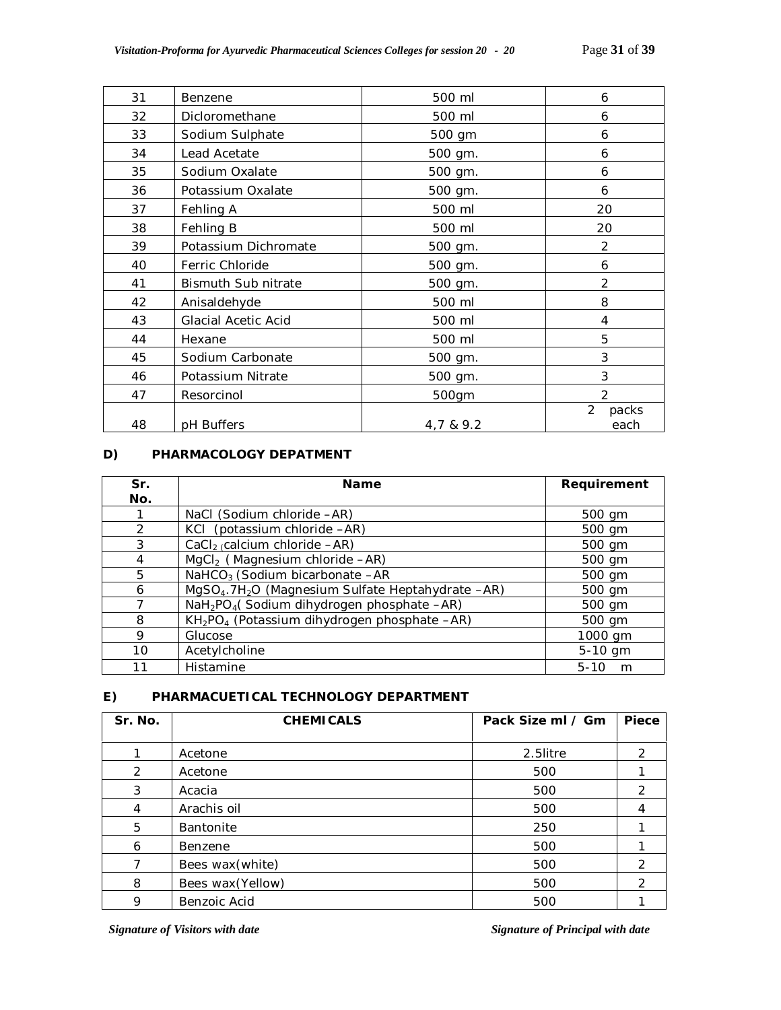| 31 | Benzene              | 500 ml    | 6                               |
|----|----------------------|-----------|---------------------------------|
| 32 | Dicloromethane       | 500 ml    | 6                               |
| 33 | Sodium Sulphate      | 500 gm    | 6                               |
| 34 | Lead Acetate         | 500 gm.   | 6                               |
| 35 | Sodium Oxalate       | 500 gm.   | 6                               |
| 36 | Potassium Oxalate    | 500 gm.   | 6                               |
| 37 | Fehling A            | 500 ml    | 20                              |
| 38 | Fehling B            | 500 ml    | 20                              |
| 39 | Potassium Dichromate | 500 gm.   | 2                               |
| 40 | Ferric Chloride      | 500 gm.   | 6                               |
| 41 | Bismuth Sub nitrate  | 500 gm.   | $\overline{2}$                  |
| 42 | Anisaldehyde         | 500 ml    | 8                               |
| 43 | Glacial Acetic Acid  | 500 ml    | 4                               |
| 44 | Hexane               | 500 ml    | 5                               |
| 45 | Sodium Carbonate     | 500 gm.   | 3                               |
| 46 | Potassium Nitrate    | 500 gm.   | 3                               |
| 47 | Resorcinol           | 500gm     | $\mathfrak{D}$                  |
| 48 | pH Buffers           | 4,7 & 9.2 | $\overline{2}$<br>packs<br>each |

#### **D) PHARMACOLOGY DEPATMENT**

| Sr.           | <b>Name</b>                                                               | Requirement   |  |
|---------------|---------------------------------------------------------------------------|---------------|--|
| No.           |                                                                           |               |  |
|               | NaCl (Sodium chloride -AR)                                                | 500 gm        |  |
| $\mathcal{P}$ | KCI (potassium chloride -AR)                                              | 500 gm        |  |
| 3             | CaCl <sub>2</sub> (calcium chloride $-AR$ )                               | 500 gm        |  |
| 4             | $MgCl2$ (Magnesium chloride $-AR$ )                                       | 500 gm        |  |
| 5             | NaHCO <sub>3</sub> (Sodium bicarbonate $-AR$                              | 500 gm        |  |
| 6             | MgSO <sub>4</sub> .7H <sub>2</sub> O (Magnesium Sulfate Heptahydrate -AR) | 500 gm        |  |
|               | NaH <sub>2</sub> PO <sub>4</sub> (Sodium dihydrogen phosphate -AR)        | 500 gm        |  |
| 8             | KH <sub>2</sub> PO <sub>4</sub> (Potassium dihydrogen phosphate -AR)      | 500 gm        |  |
| 9             | Glucose                                                                   | 1000 gm       |  |
| 10            | Acetylcholine                                                             | 5-10 gm       |  |
| 11            | Histamine                                                                 | $5 - 10$<br>m |  |

# **E) PHARMACUETICAL TECHNOLOGY DEPARTMENT**

| Sr. No. | <b>CHEMICALS</b>  | Pack Size ml / Gm | Piece |
|---------|-------------------|-------------------|-------|
|         | Acetone           | 2.5litre          | 2     |
| 2       | Acetone           | 500               |       |
| 3       | Acacia            | 500               | 2     |
| 4       | Arachis oil       | 500               |       |
| 5       | <b>Bantonite</b>  | 250               |       |
| 6       | Benzene           | 500               |       |
| 7       | Bees wax (white)  | 500               | 2     |
| 8       | Bees wax (Yellow) | 500               | 2     |
| 9       | Benzoic Acid      | 500               |       |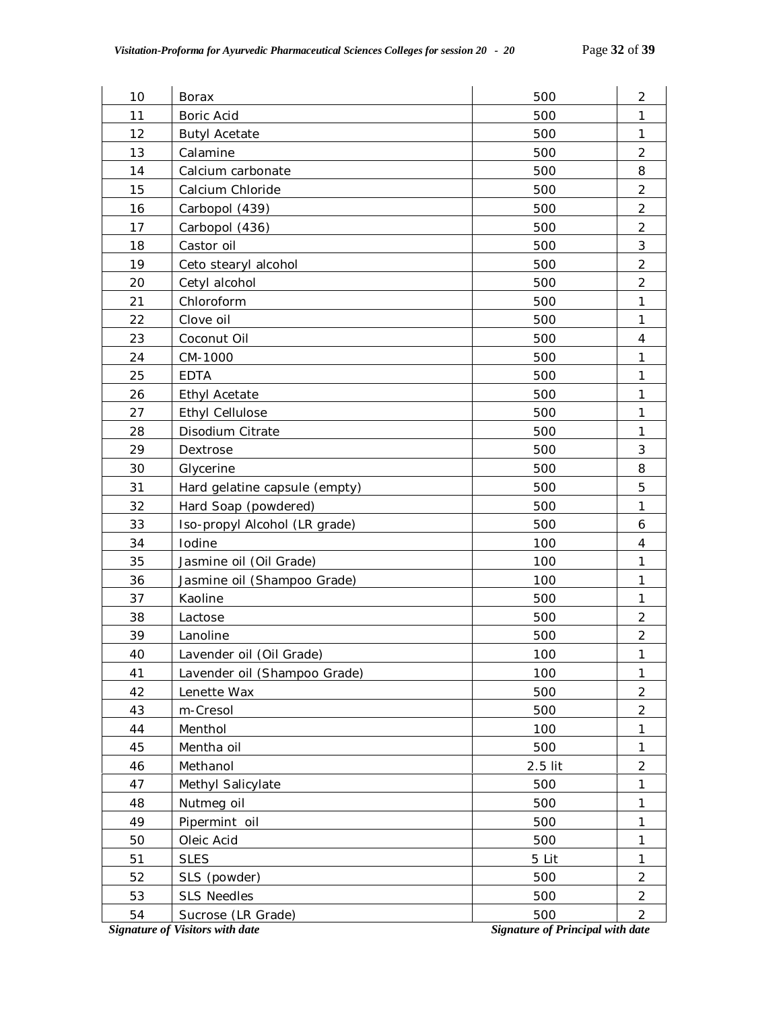| 10                                                                                | <b>Borax</b>                  | 500     | $\overline{2}$ |  |
|-----------------------------------------------------------------------------------|-------------------------------|---------|----------------|--|
| 11                                                                                | Boric Acid                    | 500     | 1              |  |
| 12                                                                                | 500<br><b>Butyl Acetate</b>   |         |                |  |
| 13                                                                                | Calamine<br>500               |         |                |  |
| 14                                                                                | Calcium carbonate<br>500      |         |                |  |
| 15                                                                                | Calcium Chloride              | 500     | $\overline{2}$ |  |
| 16                                                                                | Carbopol (439)                | 500     | $\overline{2}$ |  |
| 17                                                                                | Carbopol (436)                | 500     | $\overline{2}$ |  |
| 18                                                                                | Castor oil                    | 500     | 3              |  |
| 19                                                                                | Ceto stearyl alcohol          | 500     | $\overline{2}$ |  |
| 20                                                                                | Cetyl alcohol                 | 500     | $\overline{2}$ |  |
| 21                                                                                | Chloroform                    | 500     | $\mathbf{1}$   |  |
| 22                                                                                | Clove oil                     | 500     | $\mathbf{1}$   |  |
| 23                                                                                | Coconut Oil                   | 500     | 4              |  |
| 24                                                                                | CM-1000                       | 500     | 1              |  |
| 25                                                                                | <b>EDTA</b>                   | 500     | 1              |  |
| 26                                                                                | <b>Ethyl Acetate</b>          | 500     | 1              |  |
| 27                                                                                | <b>Ethyl Cellulose</b>        | 500     | 1              |  |
| 28                                                                                | Disodium Citrate              | 500     | $\mathbf{1}$   |  |
| 29                                                                                | Dextrose                      | 500     | $\mathfrak{Z}$ |  |
| 30                                                                                | Glycerine                     | 500     | 8              |  |
| 31                                                                                | Hard gelatine capsule (empty) | 500     | 5              |  |
| 32                                                                                | Hard Soap (powdered)          | 500     | 1              |  |
| 33                                                                                | Iso-propyl Alcohol (LR grade) | 500     | 6              |  |
| 34                                                                                | Iodine                        | 100     | $\overline{4}$ |  |
| 35                                                                                | Jasmine oil (Oil Grade)       | 100     | $\mathbf{1}$   |  |
| 36                                                                                | Jasmine oil (Shampoo Grade)   | 100     | $\mathbf{1}$   |  |
| 37                                                                                | Kaoline                       | 500     | 1              |  |
| 38                                                                                | Lactose                       | 500     | $\overline{2}$ |  |
| 39                                                                                | Lanoline                      | 500     | $\overline{2}$ |  |
| 40                                                                                | Lavender oil (Oil Grade)      | 100     | $\mathbf{1}$   |  |
| 41                                                                                | Lavender oil (Shampoo Grade)  | 100     | 1              |  |
| 42                                                                                | Lenette Wax                   | 500     | $\overline{2}$ |  |
| 43                                                                                | m-Cresol                      | 500     | $\overline{2}$ |  |
| 44                                                                                | Menthol                       | 100     | 1              |  |
| 45                                                                                | Mentha oil                    | 500     | 1              |  |
| 46                                                                                | Methanol                      | 2.5 lit | $\overline{2}$ |  |
| 47                                                                                | Methyl Salicylate             | 500     | 1              |  |
| 48                                                                                | Nutmeg oil                    | 500     | 1              |  |
| 49                                                                                | Pipermint oil                 | 500     | 1              |  |
| 50                                                                                | Oleic Acid                    | 500     | 1              |  |
| 51                                                                                | <b>SLES</b>                   | 5 Lit   | 1              |  |
| 52                                                                                | SLS (powder)                  | 500     | $\overline{2}$ |  |
| 53                                                                                | <b>SLS Needles</b>            | 500     | $\overline{2}$ |  |
| 54                                                                                | Sucrose (LR Grade)<br>500     |         | $\overline{2}$ |  |
| <b>Signature of Visitors with date</b><br><b>Signature of Principal with date</b> |                               |         |                |  |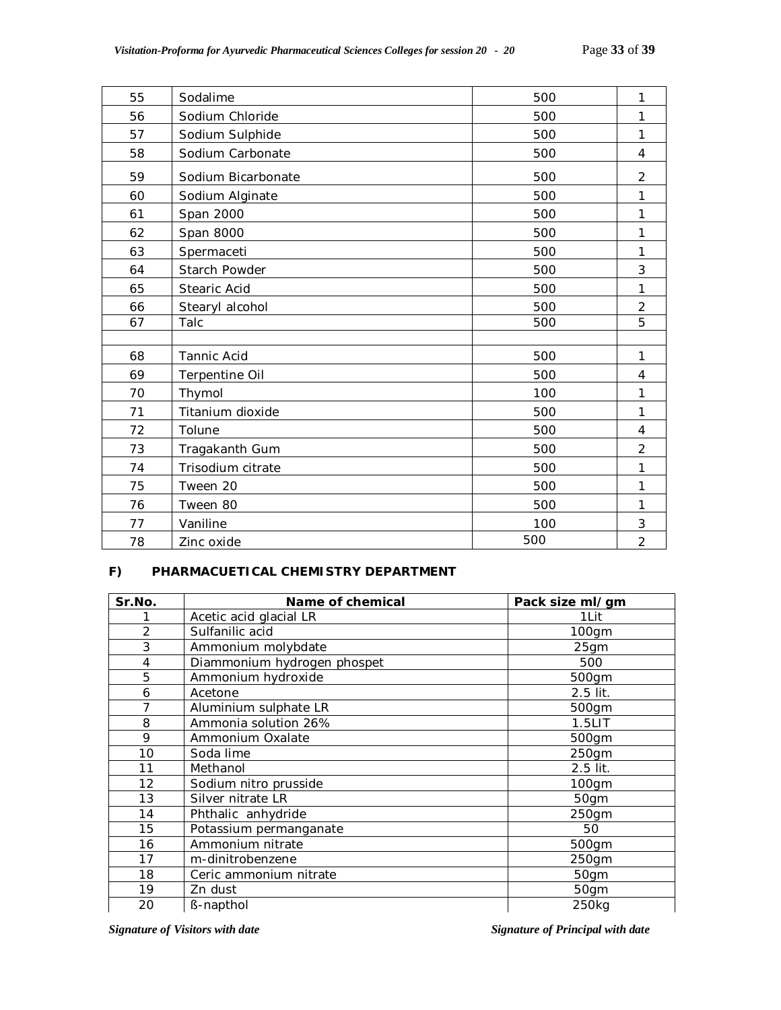| 55 | Sodalime           | 500 | 1              |
|----|--------------------|-----|----------------|
| 56 | Sodium Chloride    | 500 | 1              |
| 57 | Sodium Sulphide    | 500 | $\mathbf{1}$   |
| 58 | Sodium Carbonate   | 500 | $\overline{4}$ |
| 59 | Sodium Bicarbonate | 500 | 2              |
| 60 | Sodium Alginate    | 500 | 1              |
| 61 | Span 2000          | 500 | 1              |
| 62 | Span 8000          | 500 | 1              |
| 63 | Spermaceti         | 500 | 1              |
| 64 | Starch Powder      | 500 | 3              |
| 65 | Stearic Acid       | 500 | 1              |
| 66 | Stearyl alcohol    | 500 | $\overline{2}$ |
| 67 | Talc               | 500 | 5              |
|    |                    |     |                |
| 68 | Tannic Acid        | 500 | 1              |
| 69 | Terpentine Oil     | 500 | 4              |
| 70 | Thymol             | 100 | 1              |
| 71 | Titanium dioxide   | 500 | 1              |
| 72 | Tolune             | 500 | 4              |
| 73 | Tragakanth Gum     | 500 | $\overline{2}$ |
| 74 | Trisodium citrate  | 500 | 1              |
| 75 | Tween 20           | 500 | 1              |
| 76 | Tween 80           | 500 | 1              |
| 77 | Vaniline           | 100 | 3              |
| 78 | Zinc oxide         | 500 | $\overline{2}$ |

# **F) PHARMACUETICAL CHEMISTRY DEPARTMENT**

| Sr.No.            | Name of chemical            | Pack size ml/gm |
|-------------------|-----------------------------|-----------------|
|                   | Acetic acid glacial LR      | 1Lit            |
| $\overline{2}$    | Sulfanilic acid             | 100gm           |
| 3                 | Ammonium molybdate          | 25gm            |
| $\overline{4}$    | Diammonium hydrogen phospet | 500             |
| 5                 | Ammonium hydroxide          | 500gm           |
| 6                 | Acetone                     | 2.5 lit.        |
| 7                 | Aluminium sulphate LR       | 500gm           |
| 8                 | Ammonia solution 26%        | $1.5$ LIT       |
| 9                 | Ammonium Oxalate            | 500gm           |
| 10                | Soda lime                   | 250gm           |
| 11                | Methanol                    | 2.5 lit.        |
| $12 \overline{ }$ | Sodium nitro prusside       | $100$ gm        |
| 13                | Silver nitrate LR           | 50gm            |
| 14                | Phthalic anhydride          | 250gm           |
| 15                | Potassium permanganate      | 50              |
| 16                | Ammonium nitrate            | 500gm           |
| 17                | m-dinitrobenzene            | 250gm           |
| 18                | Ceric ammonium nitrate      | 50gm            |
| 19                | Zn dust                     | 50gm            |
| 20                | <b>B-napthol</b>            | 250kg           |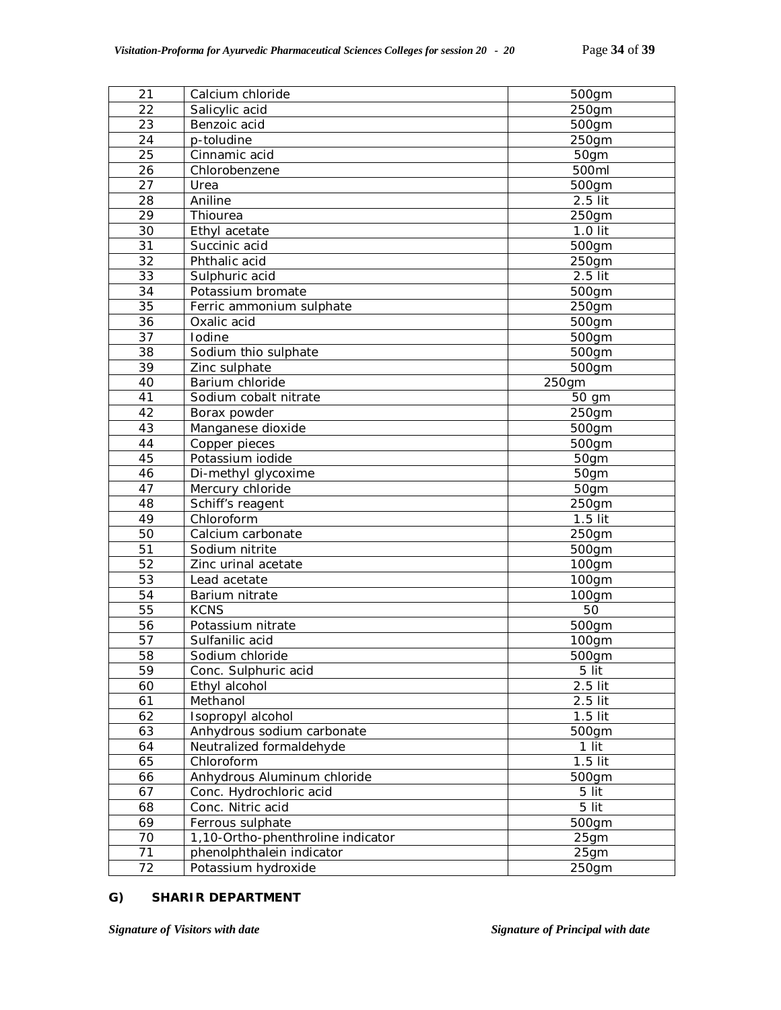| 21<br>Calcium chloride<br>500gm                 |  |
|-------------------------------------------------|--|
| $\overline{2}2$<br>Salicylic acid<br>250gm      |  |
| 23<br>Benzoic acid<br>500gm                     |  |
| 24<br>250gm<br>p-toludine                       |  |
| 25<br>Cinnamic acid<br>50gm                     |  |
| 26<br>500ml<br>Chlorobenzene                    |  |
| $\overline{27}$<br>Urea<br>500gm                |  |
| $2.5$ lit<br>28<br>Aniline                      |  |
| $\overline{29}$<br>Thiourea<br>250gm            |  |
| 30<br>1.0 lit<br>Ethyl acetate                  |  |
| 31<br>Succinic acid<br>500gm                    |  |
| 32<br>Phthalic acid<br>250gm                    |  |
| 33<br>2.5 lit<br>Sulphuric acid                 |  |
| 34<br>Potassium bromate<br>500gm                |  |
| 35<br>$250$ gm<br>Ferric ammonium sulphate      |  |
| 36<br>Oxalic acid<br>500gm                      |  |
| 37<br>Iodine<br>500gm                           |  |
| 38<br>500gm<br>Sodium thio sulphate             |  |
| 39<br>Zinc sulphate<br>500gm                    |  |
| 40<br>Barium chloride<br>250gm                  |  |
| 41<br>Sodium cobalt nitrate<br>50 gm            |  |
| 42<br>250gm<br>Borax powder                     |  |
| 43<br>Manganese dioxide<br>500gm                |  |
| 44<br>Copper pieces<br>500gm                    |  |
| 45<br>Potassium iodide<br>50gm                  |  |
| 46<br>Di-methyl glycoxime<br>50gm               |  |
| 47<br>Mercury chloride<br>50gm                  |  |
| 48<br>Schiff's reagent<br>250gm                 |  |
| 49<br>Chloroform<br>$1.5$ lit                   |  |
| 50<br>250gm<br>Calcium carbonate                |  |
| 51<br>Sodium nitrite<br>500gm                   |  |
| 52<br>Zinc urinal acetate<br>100gm              |  |
| 53<br>Lead acetate<br>100gm                     |  |
| 54<br>Barium nitrate<br>100gm                   |  |
| 55<br>50<br><b>KCNS</b>                         |  |
| 56<br>Potassium nitrate<br>500gm                |  |
| 57<br>Sulfanilic acid<br>100gm                  |  |
| 58<br>Sodium chloride<br>500gm                  |  |
| 59<br>Conc. Sulphuric acid<br>5 lit             |  |
| Ethyl alcohol<br>2.5 lit<br>60                  |  |
| Methanol<br>$2.5$ lit<br>61                     |  |
| Isopropyl alcohol<br>62<br>$1.5$ lit            |  |
| 63<br>Anhydrous sodium carbonate<br>500gm       |  |
| Neutralized formaldehyde<br>1 lit<br>64         |  |
| 65<br>Chloroform<br>$1.5$ lit                   |  |
| Anhydrous Aluminum chloride<br>66<br>500gm      |  |
| 5 lit<br>67<br>Conc. Hydrochloric acid          |  |
| 68<br>Conc. Nitric acid<br>5 lit                |  |
| 69<br>Ferrous sulphate<br>500gm                 |  |
| 70<br>1,10-Ortho-phenthroline indicator<br>25gm |  |
| 71<br>phenolphthalein indicator<br>25gm         |  |
| 72<br>Potassium hydroxide<br>250gm              |  |

# **G) SHARIR DEPARTMENT**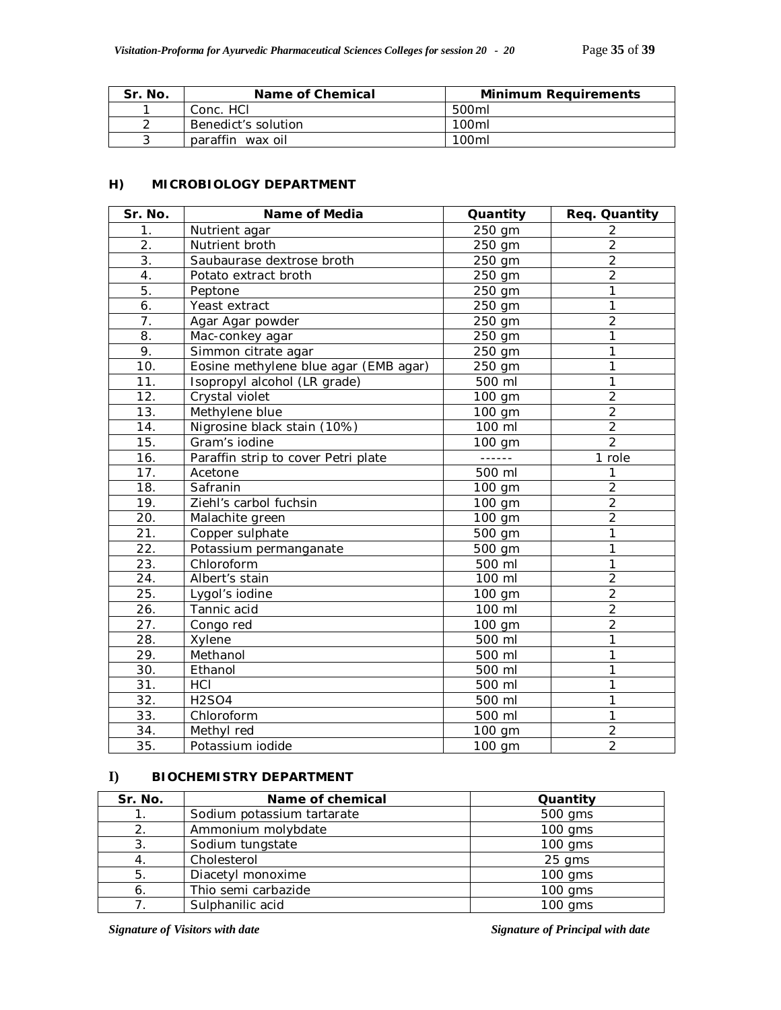| Sr. No. | Name of Chemical    | <b>Minimum Requirements</b> |
|---------|---------------------|-----------------------------|
|         | Conc. HCI           | 500ml                       |
|         | Benedict's solution | 100ml                       |
|         | paraffin wax oil    | 100 <sub>ml</sub>           |

# **H) MICROBIOLOGY DEPARTMENT**

| Sr. No.           | <b>Name of Media</b>                  | Quantity               | Req. Quantity  |
|-------------------|---------------------------------------|------------------------|----------------|
| 1.                | Nutrient agar                         | 250 gm                 | 2              |
| 2.                | Nutrient broth                        | 250 gm                 |                |
| 3.                | Saubaurase dextrose broth<br>250 gm   |                        | $\overline{2}$ |
| 4.                | Potato extract broth                  | 250 gm                 | $\overline{2}$ |
| 5.                | Peptone                               | 250 gm                 | 1              |
| 6.                | Yeast extract                         | 250 gm                 | 1              |
| $\overline{7}$ .  | Agar Agar powder                      | $250$ gm               | $\overline{2}$ |
| 8.                | Mac-conkey agar                       | 250 gm                 | 1              |
| 9.                | Simmon citrate agar                   | 250 gm                 | 1              |
| 10.               | Eosine methylene blue agar (EMB agar) | 250 gm                 | $\mathbf{1}$   |
| 11.               | Isopropyl alcohol (LR grade)          | 500 ml                 | $\mathbf{1}$   |
| 12.               | Crystal violet                        | 100 gm                 | $\overline{2}$ |
| 13.               | Methylene blue                        | 100 gm                 | $\overline{2}$ |
| 14.               | Nigrosine black stain (10%)           | 100 ml                 | $\overline{2}$ |
| 15.               | Gram's iodine                         | 100 gm                 | $\overline{2}$ |
| 16.               | Paraffin strip to cover Petri plate   |                        | 1 role         |
| 17.               | Acetone                               | 500 ml                 | 1              |
| 18.               | Safranin                              | 100 gm                 | $\overline{2}$ |
| 19.               | Ziehl's carbol fuchsin                | $\frac{1}{100}$ gm     | $\overline{2}$ |
| 20.               | Malachite green                       | 100 gm                 | $\overline{2}$ |
| $\overline{21}$ . | Copper sulphate                       | 500 gm                 | 1              |
| 22.               | Potassium permanganate                | 500 gm                 | 1              |
| 23.               | Chloroform                            | 500 ml                 | 1              |
| 24.               | Albert's stain                        | 100 ml                 | $\overline{2}$ |
| 25.               | Lygol's iodine                        | 100 gm                 | $\overline{2}$ |
| 26.               | Tannic acid                           | 100 ml                 | $\overline{2}$ |
| 27.               | Congo red                             | 100 gm                 | $\overline{2}$ |
| 28.               | Xylene                                | 500 ml                 | 1              |
| 29.               | Methanol                              | 500 ml                 | 1              |
| 30.               | Ethanol                               | 500 ml                 | 1              |
| 31.               | HCI                                   | 500 ml                 | 1              |
| 32.               | <b>H2SO4</b>                          | 500 ml                 | 1              |
| 33.               | Chloroform                            | $\mathbf{1}$<br>500 ml |                |
| 34.               | Methyl red                            | 100 gm                 | $\overline{c}$ |
| 35.               | Potassium iodide                      | 100 gm                 | $\overline{2}$ |

# **I) BIOCHEMISTRY DEPARTMENT**

| Sr. No. | Name of chemical           | Quantity  |
|---------|----------------------------|-----------|
|         | Sodium potassium tartarate | 500 gms   |
| 2.      | Ammonium molybdate         | $100$ gms |
| 3.      | Sodium tungstate           | $100$ gms |
|         | Cholesterol                | $25$ qms  |
| 5.      | Diacetyl monoxime          | $100$ gms |
| 6       | Thio semi carbazide        | $100$ gms |
|         | Sulphanilic acid           | $100$ gms |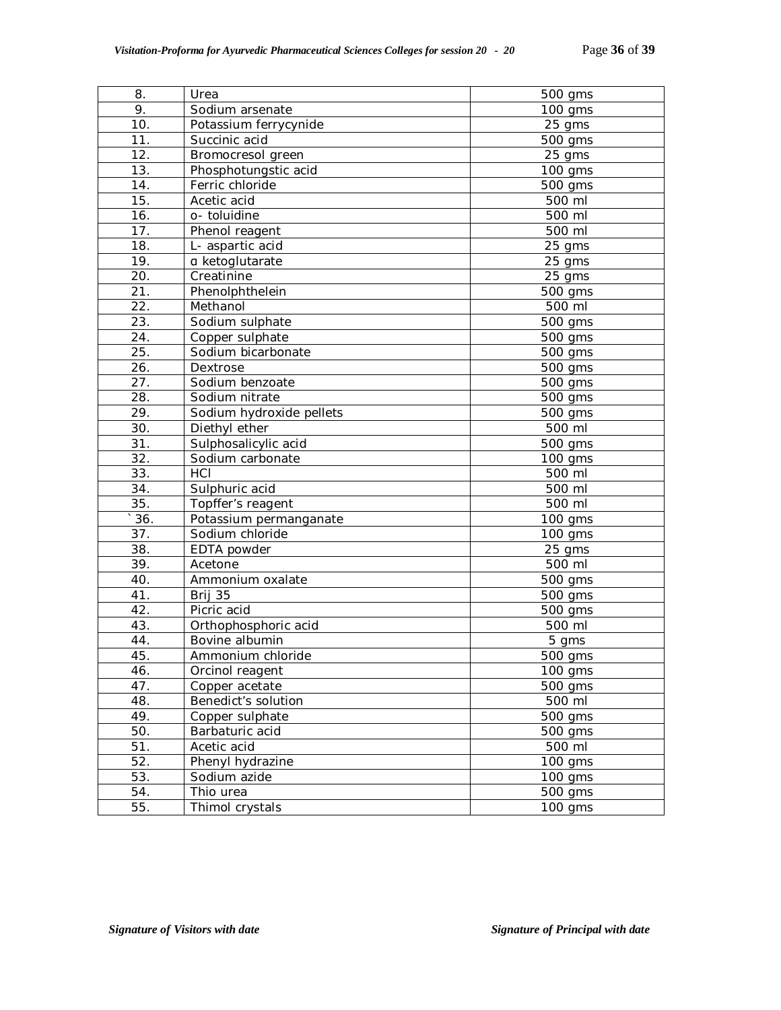| 8.                | Urea                     | 500 gms              |
|-------------------|--------------------------|----------------------|
| 9.                | Sodium arsenate          | 100 gms              |
| 10.               | Potassium ferrycynide    | 25 gms               |
| 11.               | Succinic acid            | 500 gms              |
| 12.               | Bromocresol green        | 25 gms               |
| $\overline{13}$ . | Phosphotungstic acid     | $\overline{1}00$ gms |
| 14.               | Ferric chloride          | 500 gms              |
| 15.               | Acetic acid              | 500 ml               |
| 16.               | o- toluidine             | 500 ml               |
| 17.               | Phenol reagent           | 500 ml               |
| 18.               | L- aspartic acid         | 25 gms               |
| 19.               | a ketoglutarate          | 25 gms               |
| 20.               | Creatinine               | 25 gms               |
| 21.               | Phenolphthelein          | 500 gms              |
| 22.               | Methanol                 | 500 ml               |
| 23.               | Sodium sulphate          | 500 gms              |
| 24.               | Copper sulphate          | 500 gms              |
| 25.               | Sodium bicarbonate       | 500 gms              |
| 26.               | Dextrose                 | 500 gms              |
| 27.               | Sodium benzoate          | 500 gms              |
| 28.               | Sodium nitrate           | 500 gms              |
| 29.               | Sodium hydroxide pellets | 500 gms              |
| 30.               | Diethyl ether            | 500 ml               |
| 31.               | Sulphosalicylic acid     | 500 gms              |
| 32.               | Sodium carbonate         | 100 gms              |
| 33.               | HCI                      | 500 ml               |
| 34.               | Sulphuric acid           | 500 ml               |
| 35.               | Topffer's reagent        | 500 ml               |
| 36.               | Potassium permanganate   | $100$ gms            |
| 37.               | Sodium chloride          | $100$ gms            |
| 38.               | EDTA powder              | 25 gms               |
| 39.               | Acetone                  | 500 ml               |
| 40.               | Ammonium oxalate         | 500 gms              |
| 41.               | Brij 35                  | 500 gms              |
| 42.               | Picric acid              | 500 gms              |
| 43.               | Orthophosphoric acid     | 500 ml               |
| 44.               | Bovine albumin           | 5 gms                |
| 45.               | Ammonium chloride        | 500 gms              |
| 46.               | Orcinol reagent          | 100 gms              |
| 47.               | Copper acetate           | 500 gms              |
| 48.               | Benedict's solution      | 500 ml               |
| 49.               | Copper sulphate          | 500 gms              |
| 50.               | Barbaturic acid          | 500 gms              |
| 51.               | Acetic acid              | 500 ml               |
| 52.               | Phenyl hydrazine         | 100 gms              |
| 53.               | Sodium azide             | 100 gms              |
| 54.               | Thio urea                | 500 gms              |
| 55.               | Thimol crystals          | 100 gms              |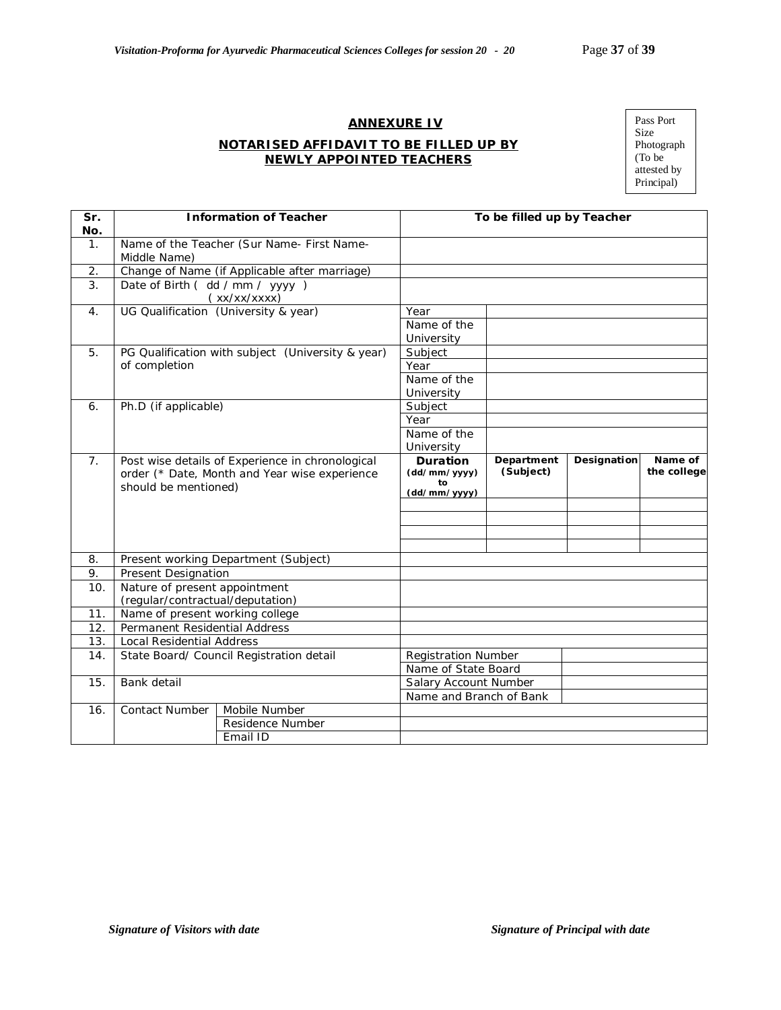# **ANNEXURE IV**

#### **NOTARISED AFFIDAVIT TO BE FILLED UP BY NEWLY APPOINTED TEACHERS**

Pass Port Size Photograph (To be attested by Principal)

| Sr.<br>No.     |                                  | <b>Information of Teacher</b>                                                                     | To be filled up by Teacher            |                         |             |                        |
|----------------|----------------------------------|---------------------------------------------------------------------------------------------------|---------------------------------------|-------------------------|-------------|------------------------|
| $\mathbf{1}$ . | Middle Name)                     | Name of the Teacher (Sur Name- First Name-                                                        |                                       |                         |             |                        |
| 2.             |                                  | Change of Name (if Applicable after marriage)                                                     |                                       |                         |             |                        |
| 3.             | Date of Birth (dd / mm / yyyy)   | (xx/xx/xxxx)                                                                                      |                                       |                         |             |                        |
| $\mathbf{4}$ . |                                  | UG Qualification (University & year)                                                              | Year                                  |                         |             |                        |
|                |                                  |                                                                                                   | Name of the                           |                         |             |                        |
|                |                                  |                                                                                                   | University                            |                         |             |                        |
| 5.             |                                  | PG Qualification with subject (University & year)                                                 | Subject                               |                         |             |                        |
|                | of completion                    |                                                                                                   | Year                                  |                         |             |                        |
|                |                                  |                                                                                                   | Name of the                           |                         |             |                        |
|                |                                  |                                                                                                   | University                            |                         |             |                        |
| 6.             | Ph.D (if applicable)             |                                                                                                   | Subject                               |                         |             |                        |
|                |                                  |                                                                                                   | Year                                  |                         |             |                        |
|                |                                  |                                                                                                   | Name of the                           |                         |             |                        |
|                |                                  |                                                                                                   | University                            |                         |             |                        |
| 7 <sub>1</sub> | should be mentioned)             | Post wise details of Experience in chronological<br>order (* Date, Month and Year wise experience | <b>Duration</b><br>(dd/mm/yyyy)<br>to | Department<br>(Subject) | Designation | Name of<br>the college |
|                |                                  |                                                                                                   | (dd/mm/yyyy)                          |                         |             |                        |
|                |                                  |                                                                                                   |                                       |                         |             |                        |
|                |                                  |                                                                                                   |                                       |                         |             |                        |
|                |                                  |                                                                                                   |                                       |                         |             |                        |
| 8.             |                                  | Present working Department (Subject)                                                              |                                       |                         |             |                        |
| 9.             | <b>Present Designation</b>       |                                                                                                   |                                       |                         |             |                        |
| 10.            | Nature of present appointment    |                                                                                                   |                                       |                         |             |                        |
|                | (regular/contractual/deputation) |                                                                                                   |                                       |                         |             |                        |
| 11.            | Name of present working college  |                                                                                                   |                                       |                         |             |                        |
| 12.            | Permanent Residential Address    |                                                                                                   |                                       |                         |             |                        |
| 13.            | Local Residential Address        |                                                                                                   |                                       |                         |             |                        |
| 14.            |                                  | State Board/ Council Registration detail                                                          | <b>Registration Number</b>            |                         |             |                        |
|                |                                  |                                                                                                   | Name of State Board                   |                         |             |                        |
| 15.            | Bank detail                      |                                                                                                   | Salary Account Number                 |                         |             |                        |
|                |                                  |                                                                                                   | Name and Branch of Bank               |                         |             |                        |
| 16.            | Contact Number                   | Mobile Number                                                                                     |                                       |                         |             |                        |
|                |                                  | Residence Number                                                                                  |                                       |                         |             |                        |
|                |                                  | Email ID                                                                                          |                                       |                         |             |                        |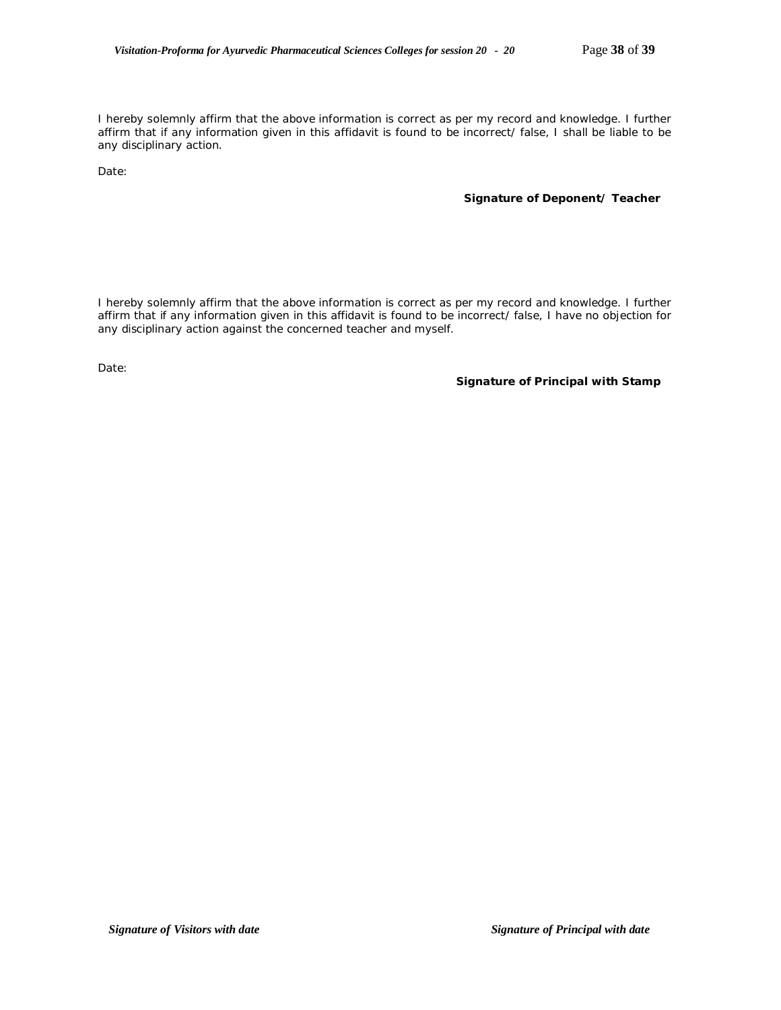I hereby solemnly affirm that the above information is correct as per my record and knowledge. I further affirm that if any information given in this affidavit is found to be incorrect/ false, I shall be liable to be any disciplinary action.

Date:

#### **Signature of Deponent/ Teacher**

I hereby solemnly affirm that the above information is correct as per my record and knowledge. I further affirm that if any information given in this affidavit is found to be incorrect/ false, I have no objection for any disciplinary action against the concerned teacher and myself.

Date:

**Signature of Principal with Stamp**